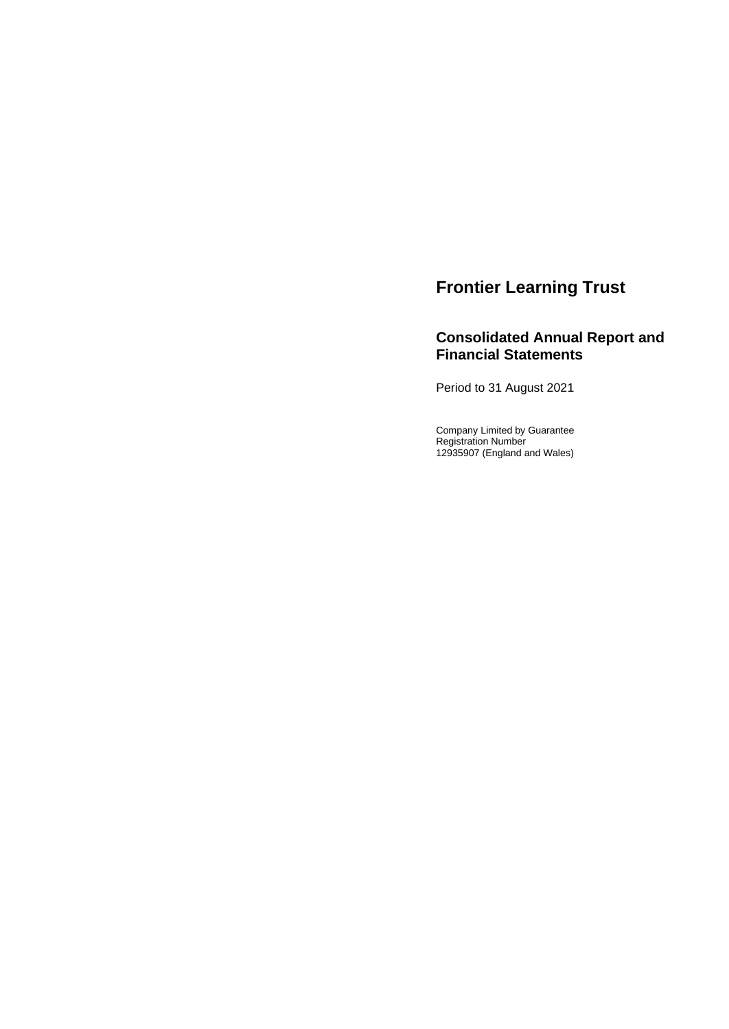# **Frontier Learning Trust**

# **Consolidated Annual Report and Financial Statements**

Period to 31 August 2021

Company Limited by Guarantee Registration Number 12935907 (England and Wales)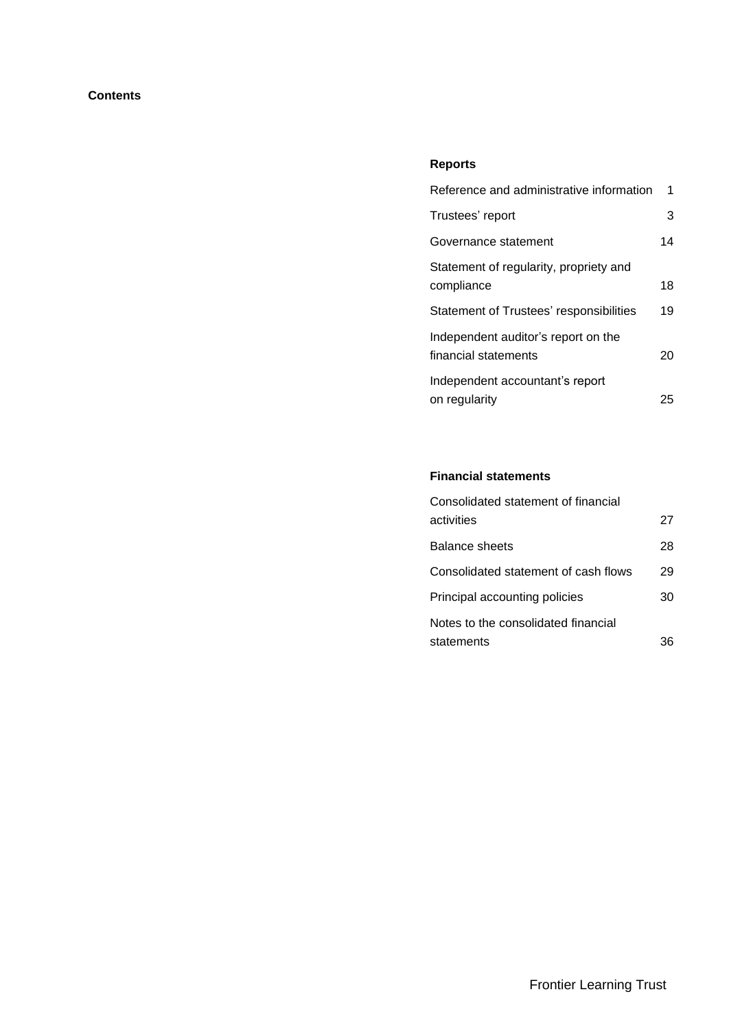# **Contents**

# **Reports**

| Reference and administrative information                    | 1  |
|-------------------------------------------------------------|----|
| Trustees' report                                            | 3  |
| Governance statement                                        | 14 |
| Statement of regularity, propriety and<br>compliance        | 18 |
| <b>Statement of Trustees' responsibilities</b>              | 19 |
| Independent auditor's report on the<br>financial statements | 20 |
| Independent accountant's report<br>on regularity            | 25 |

# **Financial statements**

| Consolidated statement of financial  |    |
|--------------------------------------|----|
| activities                           | 27 |
| <b>Balance sheets</b>                | 28 |
| Consolidated statement of cash flows | 29 |
| Principal accounting policies        | 30 |
| Notes to the consolidated financial  |    |
| statements                           | 36 |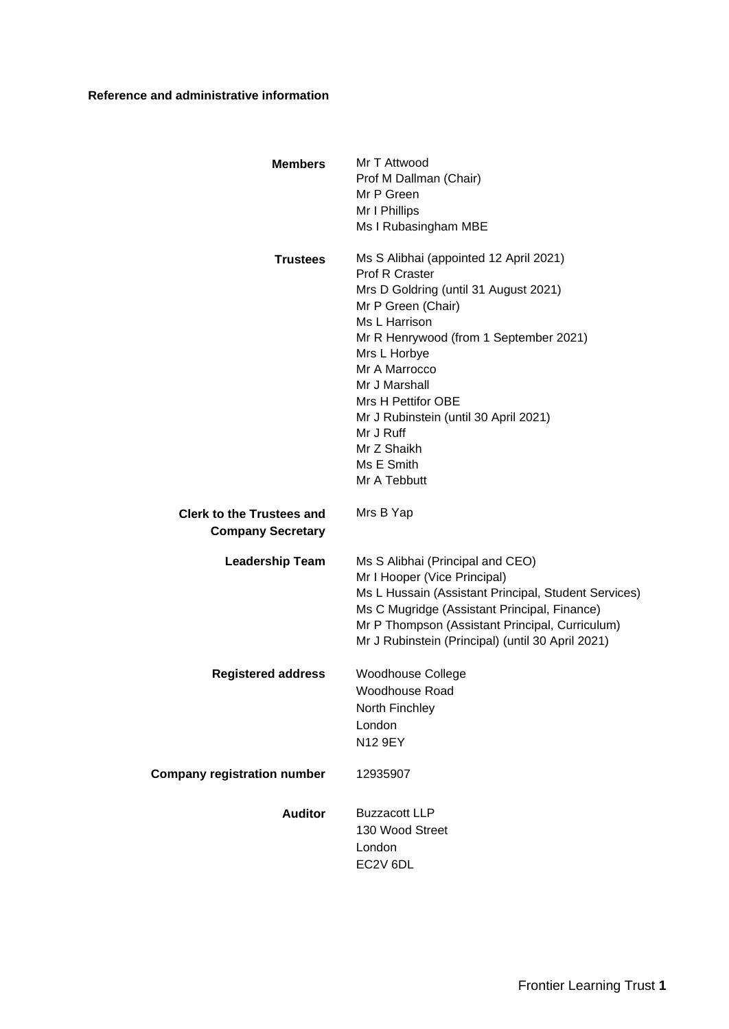# **Reference and administrative information**

| <b>Members</b>                                               | Mr T Attwood<br>Prof M Dallman (Chair)<br>Mr P Green<br>Mr I Phillips<br>Ms I Rubasingham MBE                                                                                                                                                                                                                                                                 |
|--------------------------------------------------------------|---------------------------------------------------------------------------------------------------------------------------------------------------------------------------------------------------------------------------------------------------------------------------------------------------------------------------------------------------------------|
| <b>Trustees</b>                                              | Ms S Alibhai (appointed 12 April 2021)<br>Prof R Craster<br>Mrs D Goldring (until 31 August 2021)<br>Mr P Green (Chair)<br>Ms L Harrison<br>Mr R Henrywood (from 1 September 2021)<br>Mrs L Horbye<br>Mr A Marrocco<br>Mr J Marshall<br>Mrs H Pettifor OBE<br>Mr J Rubinstein (until 30 April 2021)<br>Mr J Ruff<br>Mr Z Shaikh<br>Ms E Smith<br>Mr A Tebbutt |
| <b>Clerk to the Trustees and</b><br><b>Company Secretary</b> | Mrs B Yap                                                                                                                                                                                                                                                                                                                                                     |
| <b>Leadership Team</b>                                       | Ms S Alibhai (Principal and CEO)<br>Mr I Hooper (Vice Principal)<br>Ms L Hussain (Assistant Principal, Student Services)<br>Ms C Mugridge (Assistant Principal, Finance)<br>Mr P Thompson (Assistant Principal, Curriculum)<br>Mr J Rubinstein (Principal) (until 30 April 2021)                                                                              |
| <b>Registered address</b>                                    | <b>Woodhouse College</b><br><b>Woodhouse Road</b><br>North Finchley<br>London<br>N12 9EY                                                                                                                                                                                                                                                                      |
| <b>Company registration number</b>                           | 12935907                                                                                                                                                                                                                                                                                                                                                      |
| <b>Auditor</b>                                               | <b>Buzzacott LLP</b><br>130 Wood Street<br>London<br>EC2V 6DL                                                                                                                                                                                                                                                                                                 |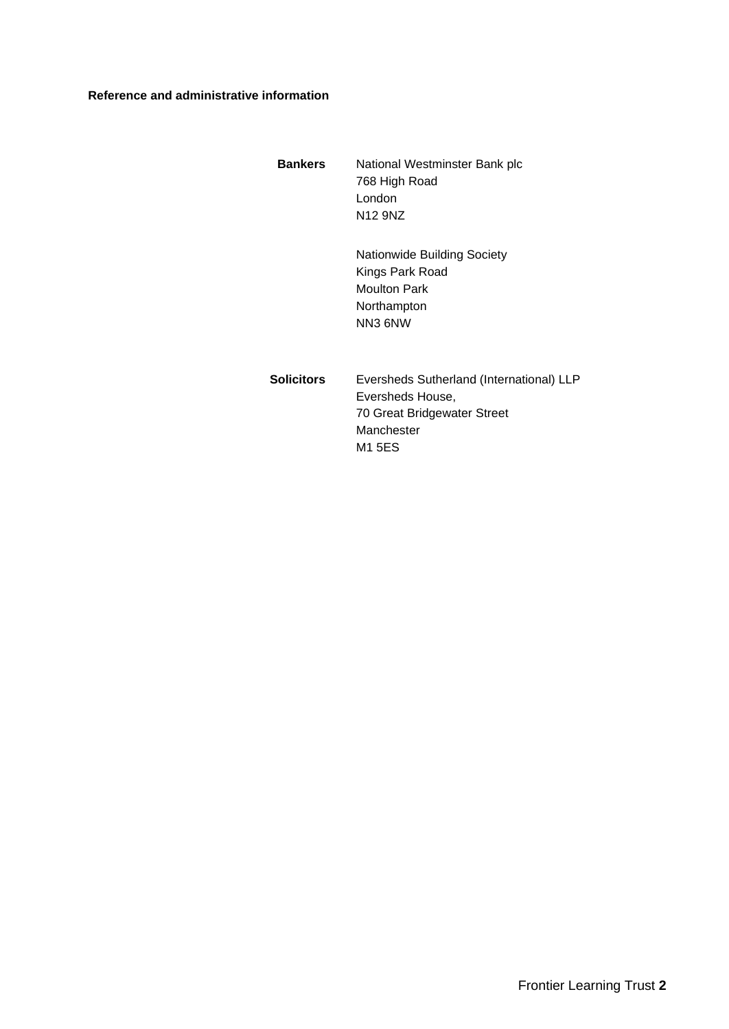# **Reference and administrative information**

**Bankers** National Westminster Bank plc 768 High Road London N12 9NZ

> Nationwide Building Society Kings Park Road Moulton Park Northampton NN3 6NW

**Solicitors** Eversheds Sutherland (International) LLP Eversheds House, 70 Great Bridgewater Street Manchester M1 5ES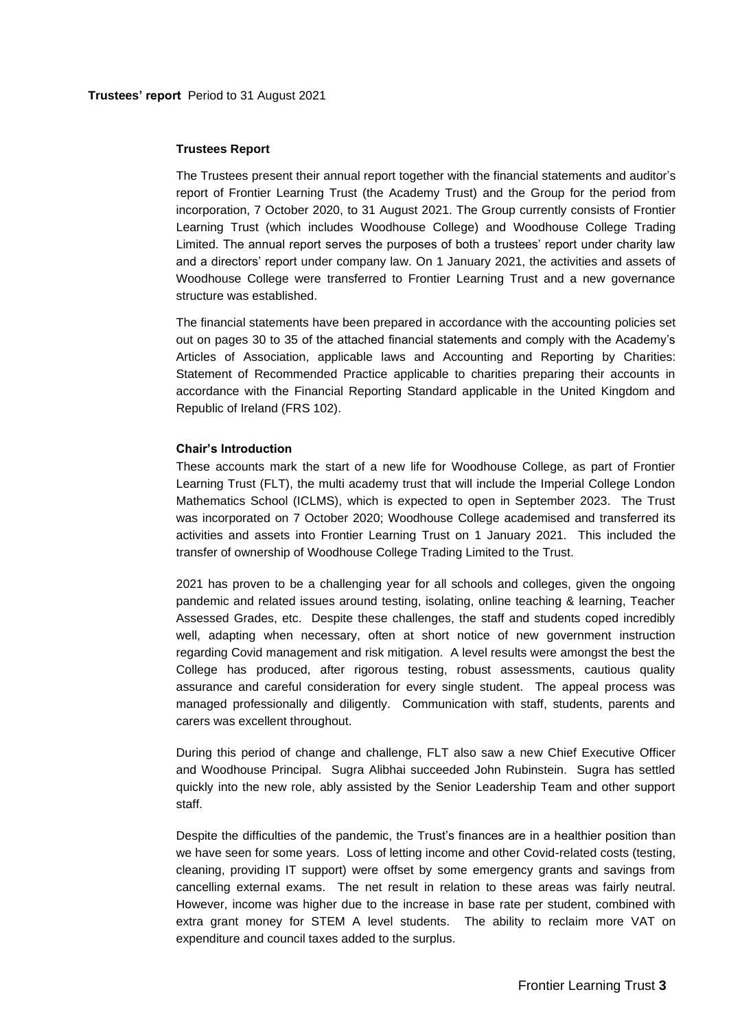#### **Trustees Report**

The Trustees present their annual report together with the financial statements and auditor's report of Frontier Learning Trust (the Academy Trust) and the Group for the period from incorporation, 7 October 2020, to 31 August 2021. The Group currently consists of Frontier Learning Trust (which includes Woodhouse College) and Woodhouse College Trading Limited. The annual report serves the purposes of both a trustees' report under charity law and a directors' report under company law. On 1 January 2021, the activities and assets of Woodhouse College were transferred to Frontier Learning Trust and a new governance structure was established.

The financial statements have been prepared in accordance with the accounting policies set out on pages 30 to 35 of the attached financial statements and comply with the Academy's Articles of Association, applicable laws and Accounting and Reporting by Charities: Statement of Recommended Practice applicable to charities preparing their accounts in accordance with the Financial Reporting Standard applicable in the United Kingdom and Republic of Ireland (FRS 102).

#### **Chair's Introduction**

These accounts mark the start of a new life for Woodhouse College, as part of Frontier Learning Trust (FLT), the multi academy trust that will include the Imperial College London Mathematics School (ICLMS), which is expected to open in September 2023. The Trust was incorporated on 7 October 2020; Woodhouse College academised and transferred its activities and assets into Frontier Learning Trust on 1 January 2021. This included the transfer of ownership of Woodhouse College Trading Limited to the Trust.

2021 has proven to be a challenging year for all schools and colleges, given the ongoing pandemic and related issues around testing, isolating, online teaching & learning, Teacher Assessed Grades, etc. Despite these challenges, the staff and students coped incredibly well, adapting when necessary, often at short notice of new government instruction regarding Covid management and risk mitigation. A level results were amongst the best the College has produced, after rigorous testing, robust assessments, cautious quality assurance and careful consideration for every single student. The appeal process was managed professionally and diligently. Communication with staff, students, parents and carers was excellent throughout.

During this period of change and challenge, FLT also saw a new Chief Executive Officer and Woodhouse Principal. Sugra Alibhai succeeded John Rubinstein. Sugra has settled quickly into the new role, ably assisted by the Senior Leadership Team and other support staff.

Despite the difficulties of the pandemic, the Trust's finances are in a healthier position than we have seen for some years. Loss of letting income and other Covid-related costs (testing, cleaning, providing IT support) were offset by some emergency grants and savings from cancelling external exams. The net result in relation to these areas was fairly neutral. However, income was higher due to the increase in base rate per student, combined with extra grant money for STEM A level students. The ability to reclaim more VAT on expenditure and council taxes added to the surplus.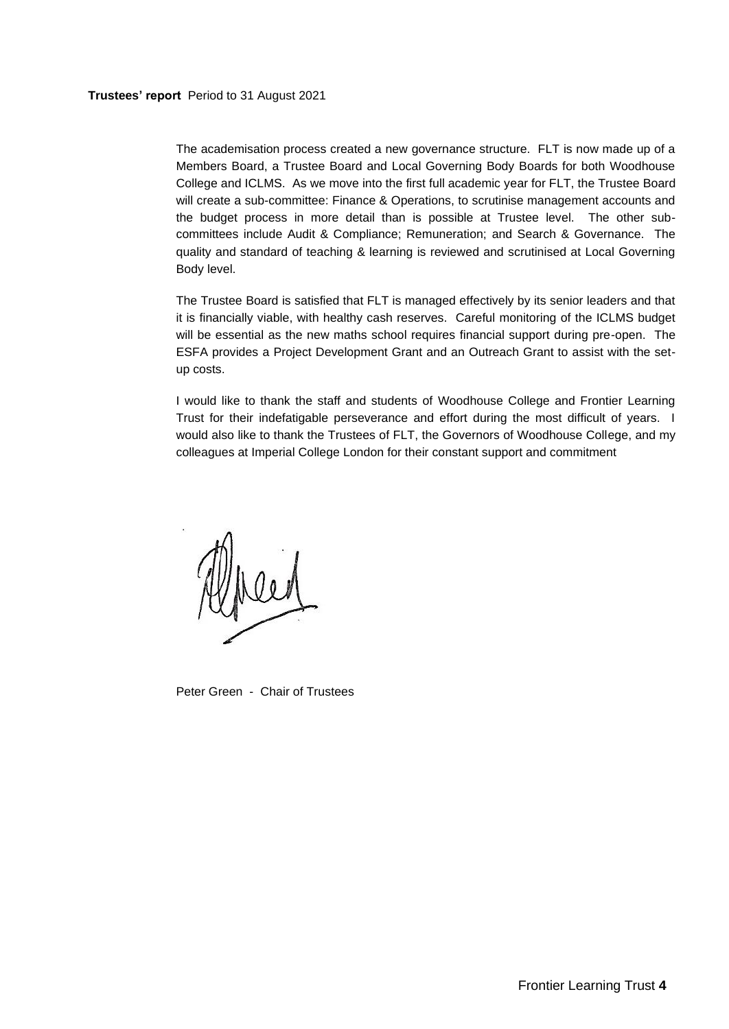The academisation process created a new governance structure. FLT is now made up of a Members Board, a Trustee Board and Local Governing Body Boards for both Woodhouse College and ICLMS. As we move into the first full academic year for FLT, the Trustee Board will create a sub-committee: Finance & Operations, to scrutinise management accounts and the budget process in more detail than is possible at Trustee level. The other subcommittees include Audit & Compliance; Remuneration; and Search & Governance. The quality and standard of teaching & learning is reviewed and scrutinised at Local Governing Body level.

The Trustee Board is satisfied that FLT is managed effectively by its senior leaders and that it is financially viable, with healthy cash reserves. Careful monitoring of the ICLMS budget will be essential as the new maths school requires financial support during pre-open. The ESFA provides a Project Development Grant and an Outreach Grant to assist with the setup costs.

I would like to thank the staff and students of Woodhouse College and Frontier Learning Trust for their indefatigable perseverance and effort during the most difficult of years. I would also like to thank the Trustees of FLT, the Governors of Woodhouse College, and my colleagues at Imperial College London for their constant support and commitment

Weed

Peter Green - Chair of Trustees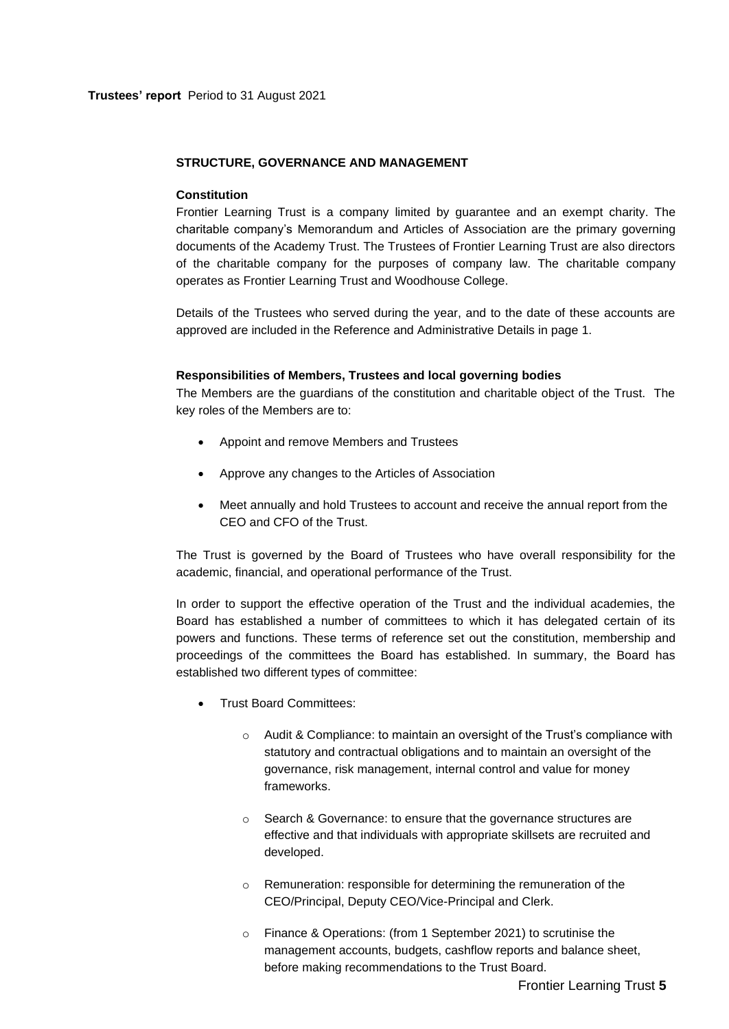# **STRUCTURE, GOVERNANCE AND MANAGEMENT**

### **Constitution**

Frontier Learning Trust is a company limited by guarantee and an exempt charity. The charitable company's Memorandum and Articles of Association are the primary governing documents of the Academy Trust. The Trustees of Frontier Learning Trust are also directors of the charitable company for the purposes of company law. The charitable company operates as Frontier Learning Trust and Woodhouse College.

Details of the Trustees who served during the year, and to the date of these accounts are approved are included in the Reference and Administrative Details in page 1.

# **Responsibilities of Members, Trustees and local governing bodies**

The Members are the guardians of the constitution and charitable object of the Trust. The key roles of the Members are to:

- Appoint and remove Members and Trustees
- Approve any changes to the Articles of Association
- Meet annually and hold Trustees to account and receive the annual report from the CEO and CFO of the Trust.

The Trust is governed by the Board of Trustees who have overall responsibility for the academic, financial, and operational performance of the Trust.

In order to support the effective operation of the Trust and the individual academies, the Board has established a number of committees to which it has delegated certain of its powers and functions. These terms of reference set out the constitution, membership and proceedings of the committees the Board has established. In summary, the Board has established two different types of committee:

- Trust Board Committees:
	- o Audit & Compliance: to maintain an oversight of the Trust's compliance with statutory and contractual obligations and to maintain an oversight of the governance, risk management, internal control and value for money frameworks.
	- o Search & Governance: to ensure that the governance structures are effective and that individuals with appropriate skillsets are recruited and developed.
	- o Remuneration: responsible for determining the remuneration of the CEO/Principal, Deputy CEO/Vice-Principal and Clerk.
	- o Finance & Operations: (from 1 September 2021) to scrutinise the management accounts, budgets, cashflow reports and balance sheet, before making recommendations to the Trust Board.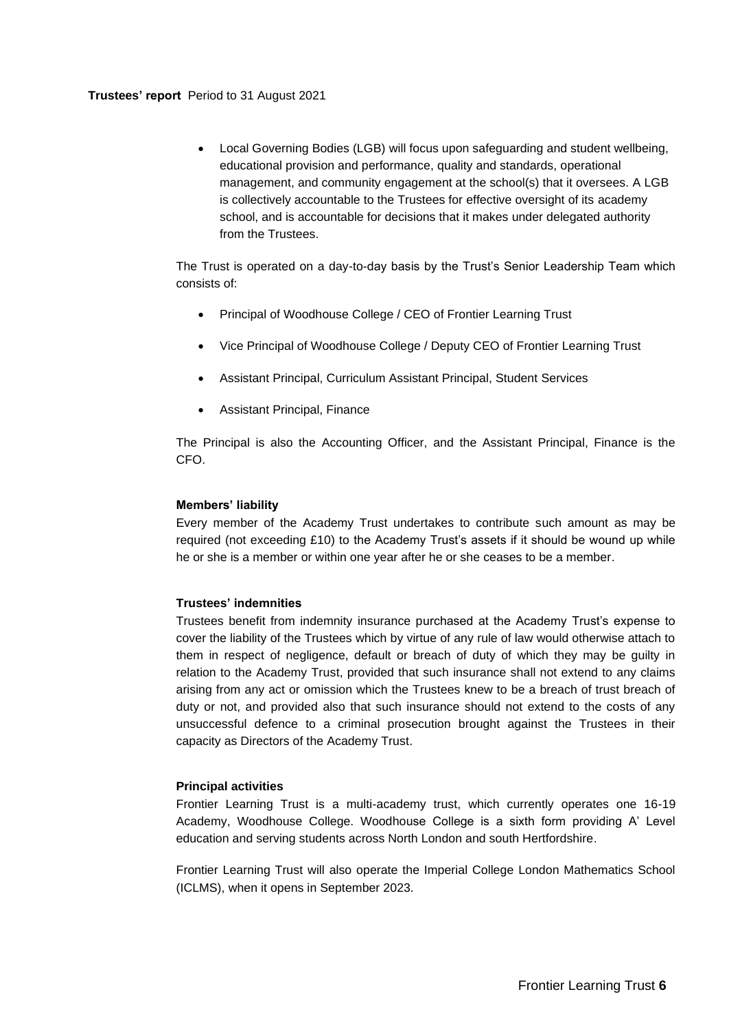# **Trustees' report** Period to 31 August 2021

• Local Governing Bodies (LGB) will focus upon safeguarding and student wellbeing, educational provision and performance, quality and standards, operational management, and community engagement at the school(s) that it oversees. A LGB is collectively accountable to the Trustees for effective oversight of its academy school, and is accountable for decisions that it makes under delegated authority from the Trustees.

The Trust is operated on a day-to-day basis by the Trust's Senior Leadership Team which consists of:

- Principal of Woodhouse College / CEO of Frontier Learning Trust
- Vice Principal of Woodhouse College / Deputy CEO of Frontier Learning Trust
- Assistant Principal, Curriculum Assistant Principal, Student Services
- Assistant Principal, Finance

The Principal is also the Accounting Officer, and the Assistant Principal, Finance is the CFO.

# **Members' liability**

Every member of the Academy Trust undertakes to contribute such amount as may be required (not exceeding £10) to the Academy Trust's assets if it should be wound up while he or she is a member or within one year after he or she ceases to be a member.

# **Trustees' indemnities**

Trustees benefit from indemnity insurance purchased at the Academy Trust's expense to cover the liability of the Trustees which by virtue of any rule of law would otherwise attach to them in respect of negligence, default or breach of duty of which they may be guilty in relation to the Academy Trust, provided that such insurance shall not extend to any claims arising from any act or omission which the Trustees knew to be a breach of trust breach of duty or not, and provided also that such insurance should not extend to the costs of any unsuccessful defence to a criminal prosecution brought against the Trustees in their capacity as Directors of the Academy Trust.

### **Principal activities**

Frontier Learning Trust is a multi-academy trust, which currently operates one 16-19 Academy, Woodhouse College. Woodhouse College is a sixth form providing A' Level education and serving students across North London and south Hertfordshire.

Frontier Learning Trust will also operate the Imperial College London Mathematics School (ICLMS), when it opens in September 2023.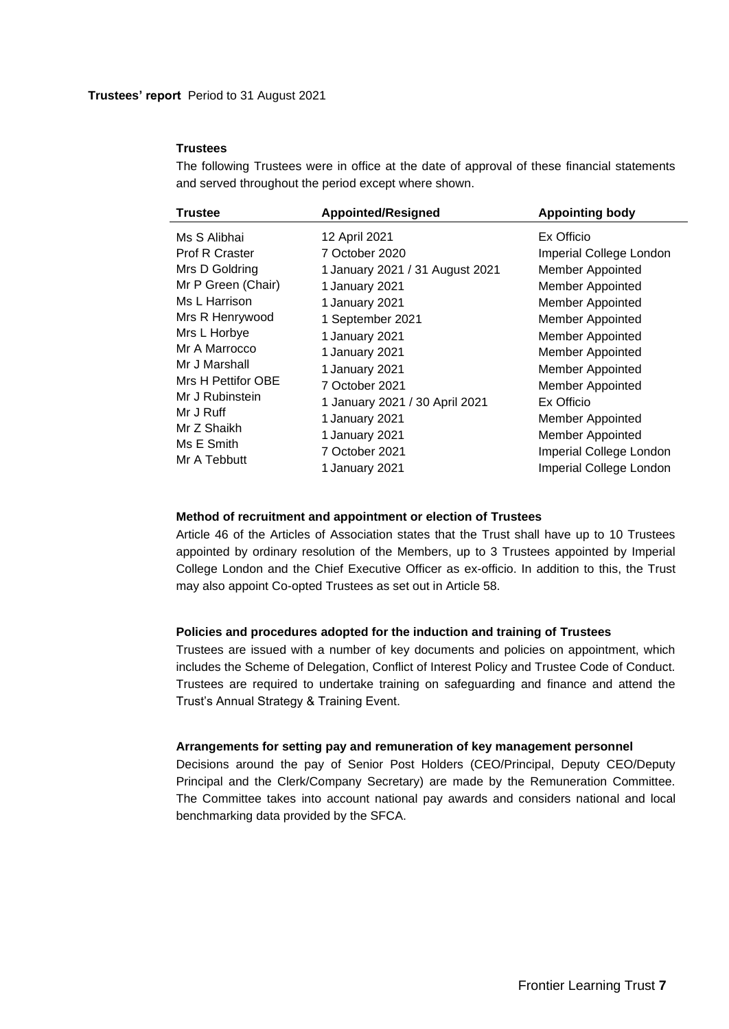### **Trustees**

The following Trustees were in office at the date of approval of these financial statements and served throughout the period except where shown.

| <b>Trustee</b>        | <b>Appointed/Resigned</b>       | <b>Appointing body</b>  |
|-----------------------|---------------------------------|-------------------------|
| Ms S Alibhai          | 12 April 2021                   | Ex Officio              |
| <b>Prof R Craster</b> | 7 October 2020                  | Imperial College London |
| Mrs D Goldring        | 1 January 2021 / 31 August 2021 | <b>Member Appointed</b> |
| Mr P Green (Chair)    | 1 January 2021                  | <b>Member Appointed</b> |
| Ms L Harrison         | 1 January 2021                  | Member Appointed        |
| Mrs R Henrywood       | 1 September 2021                | <b>Member Appointed</b> |
| Mrs L Horbye          | 1 January 2021                  | <b>Member Appointed</b> |
| Mr A Marrocco         | 1 January 2021                  | <b>Member Appointed</b> |
| Mr J Marshall         | 1 January 2021                  | Member Appointed        |
| Mrs H Pettifor OBE    | 7 October 2021                  | <b>Member Appointed</b> |
| Mr J Rubinstein       | 1 January 2021 / 30 April 2021  | Ex Officio              |
| Mr J Ruff             | 1 January 2021                  | <b>Member Appointed</b> |
| Mr Z Shaikh           | 1 January 2021                  | <b>Member Appointed</b> |
| Ms E Smith            | 7 October 2021                  | Imperial College London |
| Mr A Tebbutt          | 1 January 2021                  | Imperial College London |

### **Method of recruitment and appointment or election of Trustees**

Article 46 of the Articles of Association states that the Trust shall have up to 10 Trustees appointed by ordinary resolution of the Members, up to 3 Trustees appointed by Imperial College London and the Chief Executive Officer as ex-officio. In addition to this, the Trust may also appoint Co-opted Trustees as set out in Article 58.

# **Policies and procedures adopted for the induction and training of Trustees**

Trustees are issued with a number of key documents and policies on appointment, which includes the Scheme of Delegation, Conflict of Interest Policy and Trustee Code of Conduct. Trustees are required to undertake training on safeguarding and finance and attend the Trust's Annual Strategy & Training Event.

### **Arrangements for setting pay and remuneration of key management personnel**

Decisions around the pay of Senior Post Holders (CEO/Principal, Deputy CEO/Deputy Principal and the Clerk/Company Secretary) are made by the Remuneration Committee. The Committee takes into account national pay awards and considers national and local benchmarking data provided by the SFCA.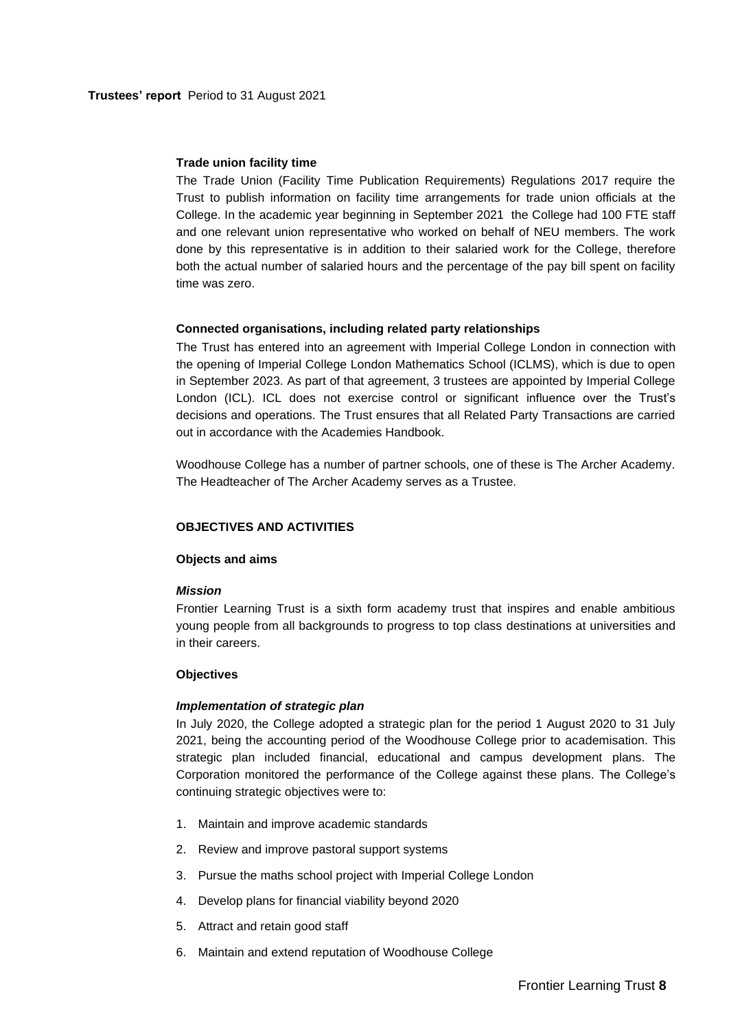# **Trade union facility time**

The Trade Union (Facility Time Publication Requirements) Regulations 2017 require the Trust to publish information on facility time arrangements for trade union officials at the College. In the academic year beginning in September 2021 the College had 100 FTE staff and one relevant union representative who worked on behalf of NEU members. The work done by this representative is in addition to their salaried work for the College, therefore both the actual number of salaried hours and the percentage of the pay bill spent on facility time was zero.

# **Connected organisations, including related party relationships**

The Trust has entered into an agreement with Imperial College London in connection with the opening of Imperial College London Mathematics School (ICLMS), which is due to open in September 2023. As part of that agreement, 3 trustees are appointed by Imperial College London (ICL). ICL does not exercise control or significant influence over the Trust's decisions and operations. The Trust ensures that all Related Party Transactions are carried out in accordance with the Academies Handbook.

Woodhouse College has a number of partner schools, one of these is The Archer Academy. The Headteacher of The Archer Academy serves as a Trustee.

# **OBJECTIVES AND ACTIVITIES**

### **Objects and aims**

### *Mission*

Frontier Learning Trust is a sixth form academy trust that inspires and enable ambitious young people from all backgrounds to progress to top class destinations at universities and in their careers.

### **Objectives**

### *Implementation of strategic plan*

In July 2020, the College adopted a strategic plan for the period 1 August 2020 to 31 July 2021, being the accounting period of the Woodhouse College prior to academisation. This strategic plan included financial, educational and campus development plans. The Corporation monitored the performance of the College against these plans. The College's continuing strategic objectives were to:

- 1. Maintain and improve academic standards
- 2. Review and improve pastoral support systems
- 3. Pursue the maths school project with Imperial College London
- 4. Develop plans for financial viability beyond 2020
- 5. Attract and retain good staff
- 6. Maintain and extend reputation of Woodhouse College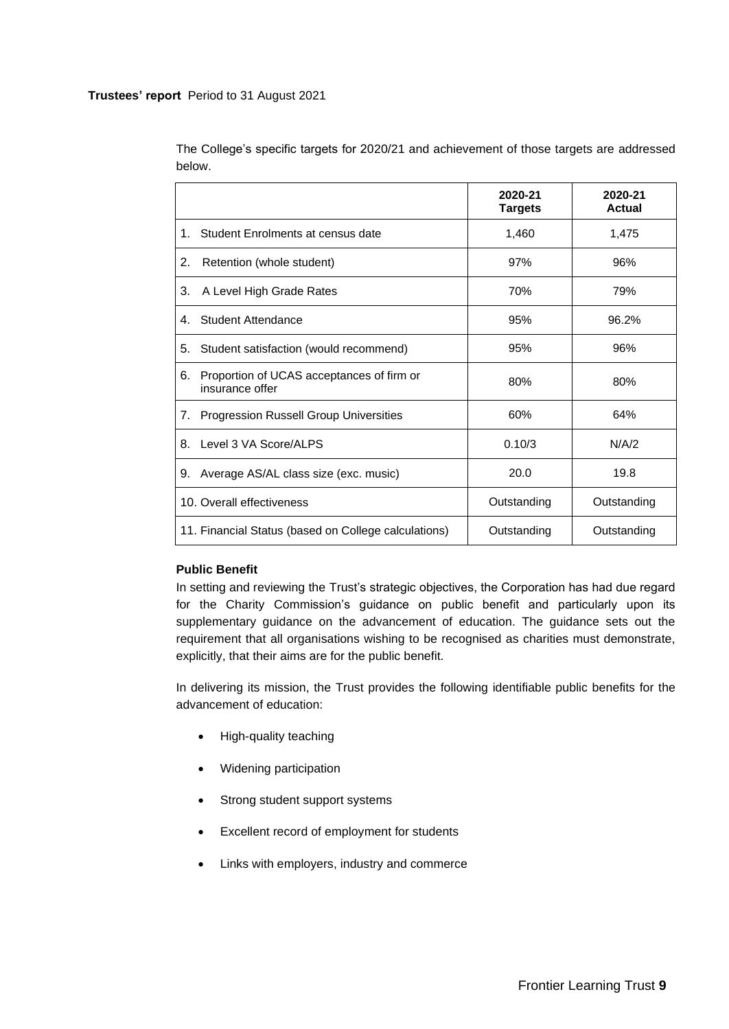# **Trustees' report** Period to 31 August 2021

|                                                                    | 2020-21<br><b>Targets</b> | 2020-21<br><b>Actual</b> |
|--------------------------------------------------------------------|---------------------------|--------------------------|
| 1. Student Enrolments at census date                               | 1,460                     | 1,475                    |
| 2.<br>Retention (whole student)                                    | 97%                       | 96%                      |
| 3.<br>A Level High Grade Rates                                     | 70%                       | 79%                      |
| Student Attendance<br>4.                                           | 95%                       | 96.2%                    |
| 5.<br>Student satisfaction (would recommend)                       | 95%                       | 96%                      |
| Proportion of UCAS acceptances of firm or<br>6.<br>insurance offer | 80%                       | 80%                      |
| <b>Progression Russell Group Universities</b><br>7.                | 60%                       | 64%                      |
| Level 3 VA Score/ALPS<br>8.                                        | 0.10/3                    | N/A/2                    |
| Average AS/AL class size (exc. music)<br>9.                        | 20.0                      | 19.8                     |
| 10. Overall effectiveness                                          | Outstanding               | Outstanding              |
| 11. Financial Status (based on College calculations)               | Outstanding               | Outstanding              |

The College's specific targets for 2020/21 and achievement of those targets are addressed below.

### **Public Benefit**

In setting and reviewing the Trust's strategic objectives, the Corporation has had due regard for the Charity Commission's guidance on public benefit and particularly upon its supplementary guidance on the advancement of education. The guidance sets out the requirement that all organisations wishing to be recognised as charities must demonstrate, explicitly, that their aims are for the public benefit.

In delivering its mission, the Trust provides the following identifiable public benefits for the advancement of education:

- High-quality teaching
- Widening participation
- Strong student support systems
- Excellent record of employment for students
- Links with employers, industry and commerce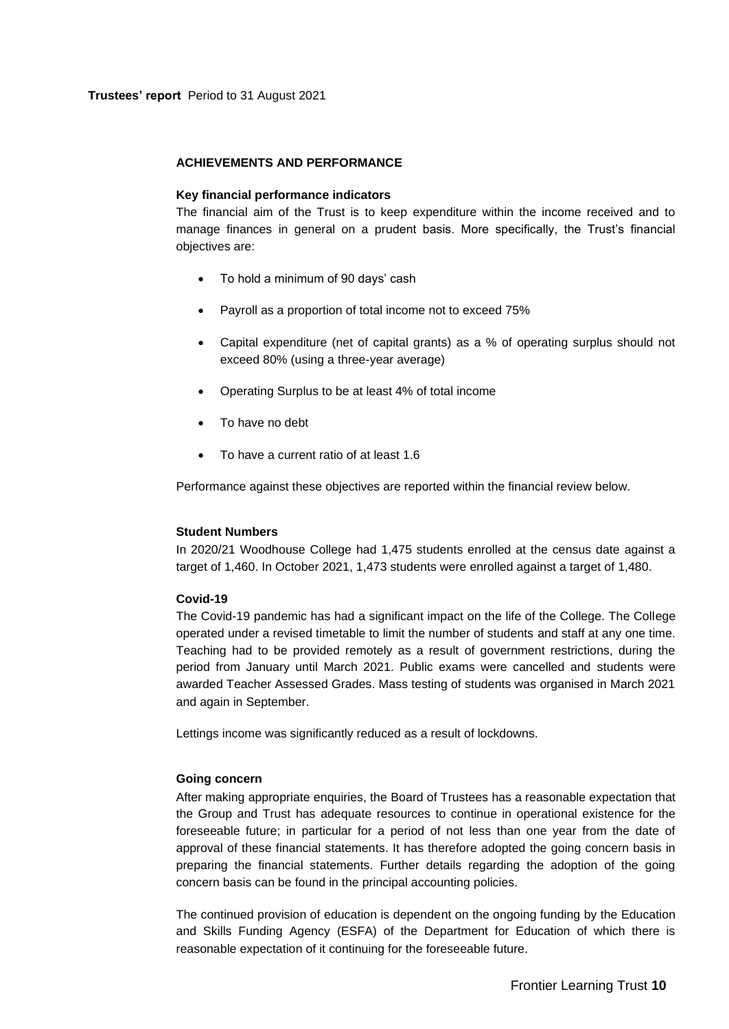### **ACHIEVEMENTS AND PERFORMANCE**

### **Key financial performance indicators**

The financial aim of the Trust is to keep expenditure within the income received and to manage finances in general on a prudent basis. More specifically, the Trust's financial objectives are:

- To hold a minimum of 90 days' cash
- Payroll as a proportion of total income not to exceed 75%
- Capital expenditure (net of capital grants) as a % of operating surplus should not exceed 80% (using a three-year average)
- Operating Surplus to be at least 4% of total income
- To have no debt
- To have a current ratio of at least 1.6

Performance against these objectives are reported within the financial review below.

### **Student Numbers**

In 2020/21 Woodhouse College had 1,475 students enrolled at the census date against a target of 1,460. In October 2021, 1,473 students were enrolled against a target of 1,480.

### **Covid-19**

The Covid-19 pandemic has had a significant impact on the life of the College. The College operated under a revised timetable to limit the number of students and staff at any one time. Teaching had to be provided remotely as a result of government restrictions, during the period from January until March 2021. Public exams were cancelled and students were awarded Teacher Assessed Grades. Mass testing of students was organised in March 2021 and again in September.

Lettings income was significantly reduced as a result of lockdowns.

### **Going concern**

After making appropriate enquiries, the Board of Trustees has a reasonable expectation that the Group and Trust has adequate resources to continue in operational existence for the foreseeable future; in particular for a period of not less than one year from the date of approval of these financial statements. It has therefore adopted the going concern basis in preparing the financial statements. Further details regarding the adoption of the going concern basis can be found in the principal accounting policies.

The continued provision of education is dependent on the ongoing funding by the Education and Skills Funding Agency (ESFA) of the Department for Education of which there is reasonable expectation of it continuing for the foreseeable future.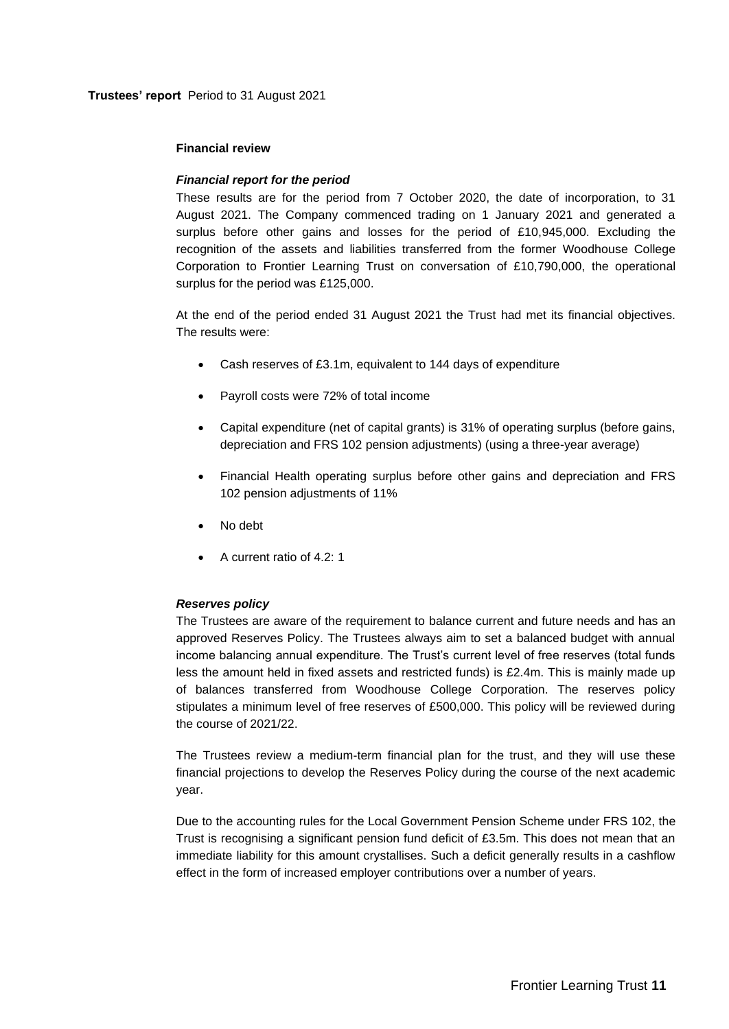### **Financial review**

# *Financial report for the period*

These results are for the period from 7 October 2020, the date of incorporation, to 31 August 2021. The Company commenced trading on 1 January 2021 and generated a surplus before other gains and losses for the period of £10,945,000. Excluding the recognition of the assets and liabilities transferred from the former Woodhouse College Corporation to Frontier Learning Trust on conversation of £10,790,000, the operational surplus for the period was £125,000.

At the end of the period ended 31 August 2021 the Trust had met its financial objectives. The results were:

- Cash reserves of £3.1m, equivalent to 144 days of expenditure
- Payroll costs were 72% of total income
- Capital expenditure (net of capital grants) is 31% of operating surplus (before gains, depreciation and FRS 102 pension adjustments) (using a three-year average)
- Financial Health operating surplus before other gains and depreciation and FRS 102 pension adjustments of 11%
- No debt
- A current ratio of 4.2: 1

### *Reserves policy*

The Trustees are aware of the requirement to balance current and future needs and has an approved Reserves Policy. The Trustees always aim to set a balanced budget with annual income balancing annual expenditure. The Trust's current level of free reserves (total funds less the amount held in fixed assets and restricted funds) is £2.4m. This is mainly made up of balances transferred from Woodhouse College Corporation. The reserves policy stipulates a minimum level of free reserves of £500,000. This policy will be reviewed during the course of 2021/22.

The Trustees review a medium-term financial plan for the trust, and they will use these financial projections to develop the Reserves Policy during the course of the next academic year.

Due to the accounting rules for the Local Government Pension Scheme under FRS 102, the Trust is recognising a significant pension fund deficit of £3.5m. This does not mean that an immediate liability for this amount crystallises. Such a deficit generally results in a cashflow effect in the form of increased employer contributions over a number of years.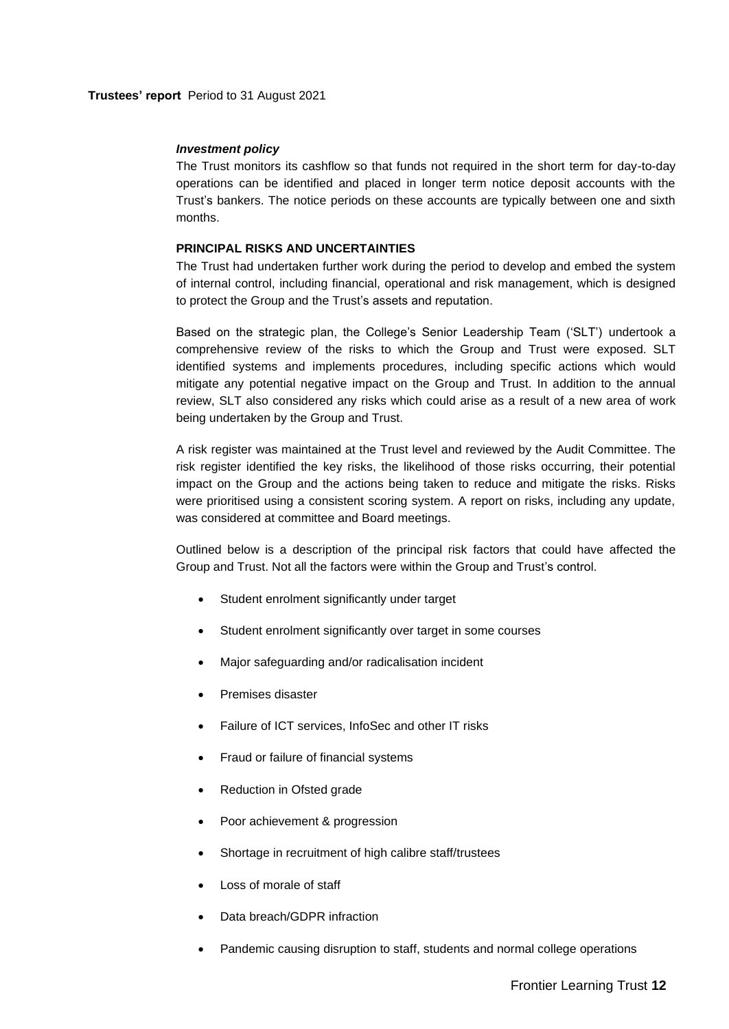### *Investment policy*

The Trust monitors its cashflow so that funds not required in the short term for day-to-day operations can be identified and placed in longer term notice deposit accounts with the Trust's bankers. The notice periods on these accounts are typically between one and sixth months.

# **PRINCIPAL RISKS AND UNCERTAINTIES**

The Trust had undertaken further work during the period to develop and embed the system of internal control, including financial, operational and risk management, which is designed to protect the Group and the Trust's assets and reputation.

Based on the strategic plan, the College's Senior Leadership Team ('SLT') undertook a comprehensive review of the risks to which the Group and Trust were exposed. SLT identified systems and implements procedures, including specific actions which would mitigate any potential negative impact on the Group and Trust. In addition to the annual review, SLT also considered any risks which could arise as a result of a new area of work being undertaken by the Group and Trust.

A risk register was maintained at the Trust level and reviewed by the Audit Committee. The risk register identified the key risks, the likelihood of those risks occurring, their potential impact on the Group and the actions being taken to reduce and mitigate the risks. Risks were prioritised using a consistent scoring system. A report on risks, including any update, was considered at committee and Board meetings.

Outlined below is a description of the principal risk factors that could have affected the Group and Trust. Not all the factors were within the Group and Trust's control.

- Student enrolment significantly under target
- Student enrolment significantly over target in some courses
- Major safeguarding and/or radicalisation incident
- Premises disaster
- Failure of ICT services, InfoSec and other IT risks
- Fraud or failure of financial systems
- Reduction in Ofsted grade
- Poor achievement & progression
- Shortage in recruitment of high calibre staff/trustees
- Loss of morale of staff
- Data breach/GDPR infraction
- Pandemic causing disruption to staff, students and normal college operations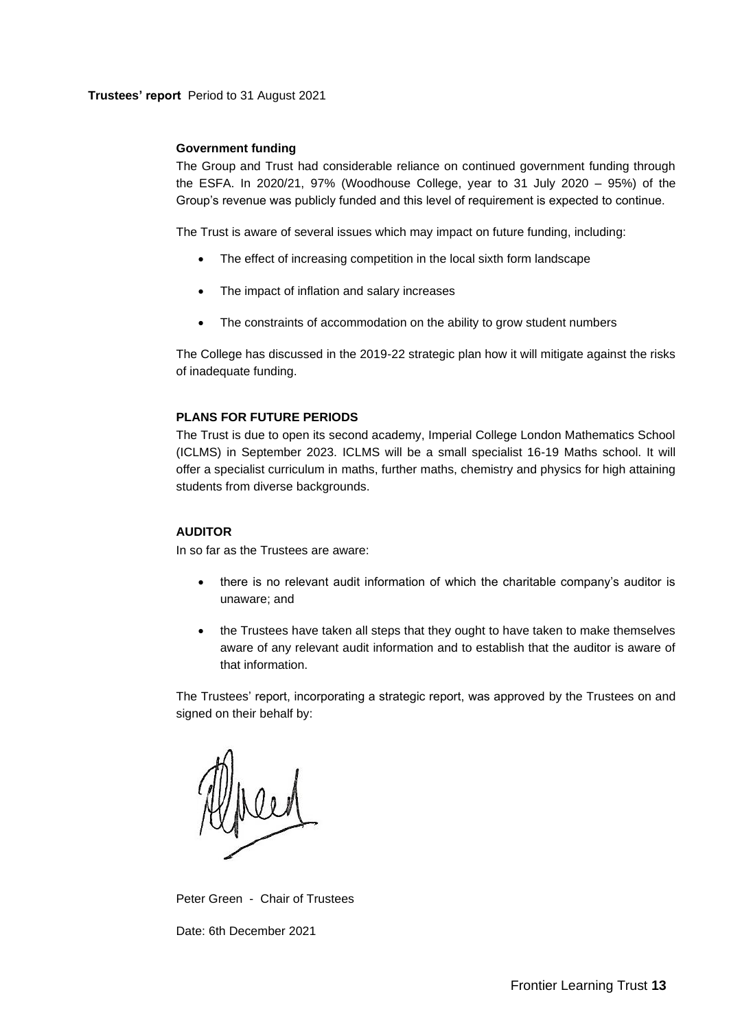# **Trustees' report** Period to 31 August 2021

# **Government funding**

The Group and Trust had considerable reliance on continued government funding through the ESFA. In 2020/21, 97% (Woodhouse College, year to 31 July 2020 – 95%) of the Group's revenue was publicly funded and this level of requirement is expected to continue.

The Trust is aware of several issues which may impact on future funding, including:

- The effect of increasing competition in the local sixth form landscape
- The impact of inflation and salary increases
- The constraints of accommodation on the ability to grow student numbers

The College has discussed in the 2019-22 strategic plan how it will mitigate against the risks of inadequate funding.

# **PLANS FOR FUTURE PERIODS**

The Trust is due to open its second academy, Imperial College London Mathematics School (ICLMS) in September 2023. ICLMS will be a small specialist 16-19 Maths school. It will offer a specialist curriculum in maths, further maths, chemistry and physics for high attaining students from diverse backgrounds.

### **AUDITOR**

In so far as the Trustees are aware:

- there is no relevant audit information of which the charitable company's auditor is unaware; and
- the Trustees have taken all steps that they ought to have taken to make themselves aware of any relevant audit information and to establish that the auditor is aware of that information.

The Trustees' report, incorporating a strategic report, was approved by the Trustees on and signed on their behalf by:

Peter Green - Chair of Trustees

Date: 6th December 2021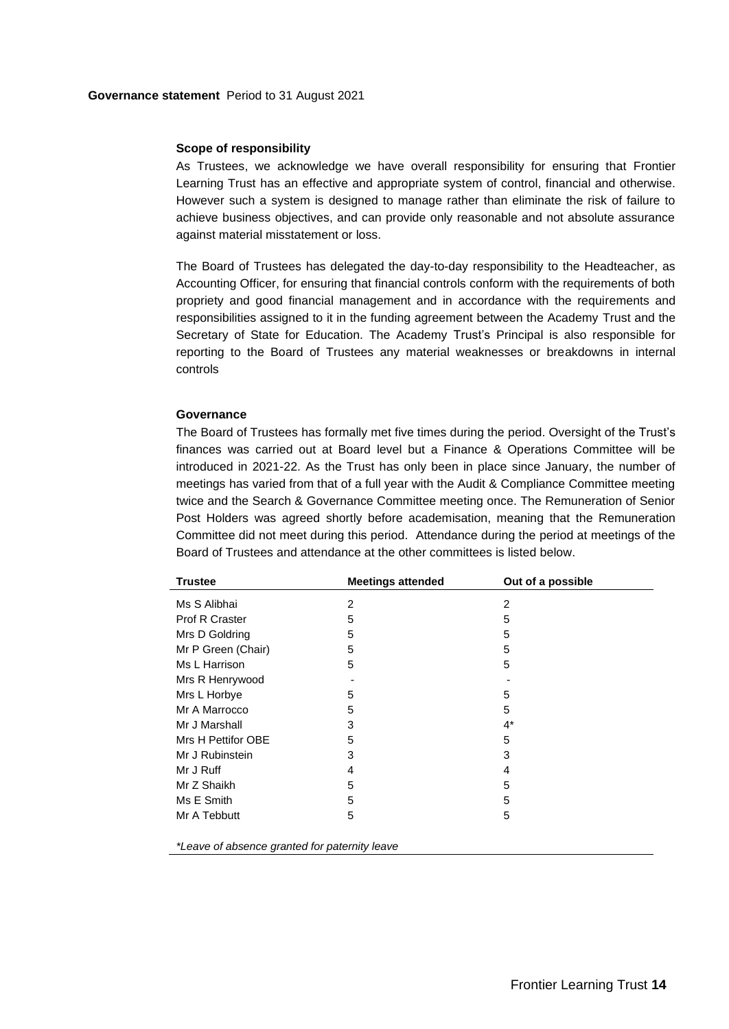#### **Governance statement** Period to 31 August 2021

### **Scope of responsibility**

As Trustees, we acknowledge we have overall responsibility for ensuring that Frontier Learning Trust has an effective and appropriate system of control, financial and otherwise. However such a system is designed to manage rather than eliminate the risk of failure to achieve business objectives, and can provide only reasonable and not absolute assurance against material misstatement or loss.

The Board of Trustees has delegated the day-to-day responsibility to the Headteacher, as Accounting Officer, for ensuring that financial controls conform with the requirements of both propriety and good financial management and in accordance with the requirements and responsibilities assigned to it in the funding agreement between the Academy Trust and the Secretary of State for Education. The Academy Trust's Principal is also responsible for reporting to the Board of Trustees any material weaknesses or breakdowns in internal controls

#### **Governance**

The Board of Trustees has formally met five times during the period. Oversight of the Trust's finances was carried out at Board level but a Finance & Operations Committee will be introduced in 2021-22. As the Trust has only been in place since January, the number of meetings has varied from that of a full year with the Audit & Compliance Committee meeting twice and the Search & Governance Committee meeting once. The Remuneration of Senior Post Holders was agreed shortly before academisation, meaning that the Remuneration Committee did not meet during this period. Attendance during the period at meetings of the Board of Trustees and attendance at the other committees is listed below.

| <b>Meetings attended</b> | Out of a possible |
|--------------------------|-------------------|
| 2                        | 2                 |
| 5                        | 5                 |
| 5                        | 5                 |
| 5                        | 5                 |
| 5                        | 5                 |
|                          |                   |
| 5                        | 5                 |
| 5                        | 5                 |
| 3                        | $4^*$             |
| 5                        | 5                 |
| 3                        | 3                 |
| 4                        | 4                 |
| 5                        | 5                 |
| 5                        | 5                 |
| 5                        | 5                 |
|                          |                   |
|                          |                   |

*\*Leave of absence granted for paternity leave*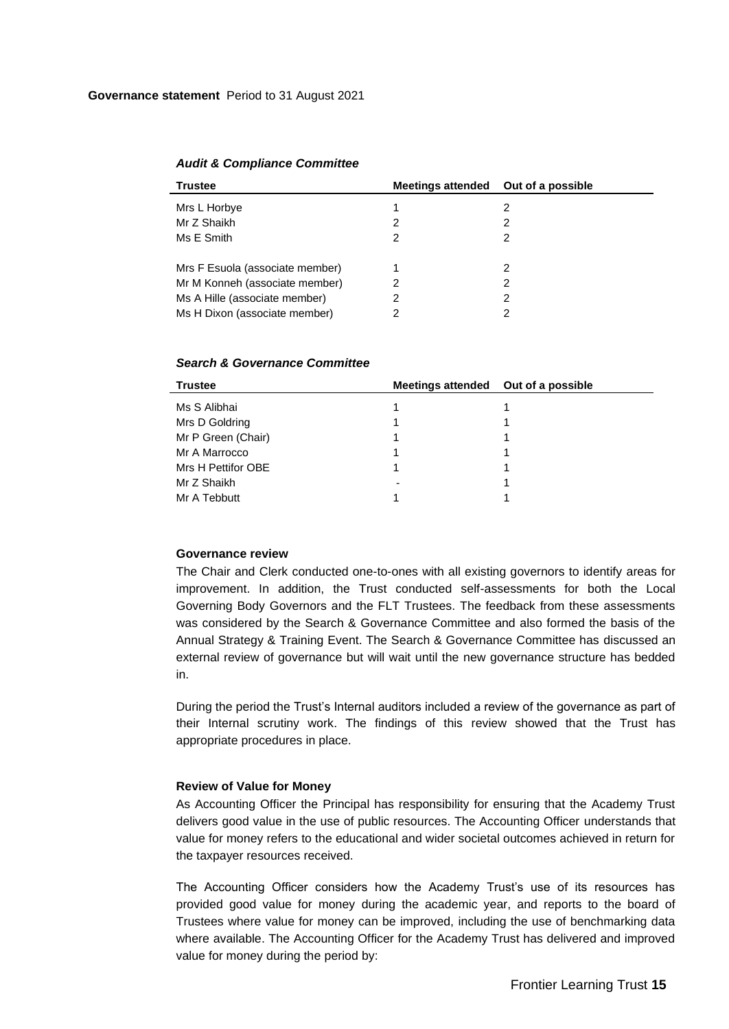### *Audit & Compliance Committee*

| <b>Trustee</b>                  | <b>Meetings attended</b> | Out of a possible |
|---------------------------------|--------------------------|-------------------|
| Mrs L Horbye                    |                          | 2                 |
| Mr Z Shaikh                     | 2                        | 2                 |
| Ms E Smith                      | 2                        | 2                 |
|                                 |                          |                   |
| Mrs F Esuola (associate member) |                          | 2                 |
| Mr M Konneh (associate member)  |                          | 2                 |
| Ms A Hille (associate member)   |                          | 2                 |
| Ms H Dixon (associate member)   |                          |                   |

# *Search & Governance Committee*

| <b>Trustee</b>     | Meetings attended Out of a possible |  |
|--------------------|-------------------------------------|--|
| Ms S Alibhai       |                                     |  |
| Mrs D Goldring     |                                     |  |
| Mr P Green (Chair) |                                     |  |
| Mr A Marrocco      |                                     |  |
| Mrs H Pettifor OBE |                                     |  |
| Mr Z Shaikh        | -                                   |  |
| Mr A Tebbutt       |                                     |  |

### **Governance review**

The Chair and Clerk conducted one-to-ones with all existing governors to identify areas for improvement. In addition, the Trust conducted self-assessments for both the Local Governing Body Governors and the FLT Trustees. The feedback from these assessments was considered by the Search & Governance Committee and also formed the basis of the Annual Strategy & Training Event. The Search & Governance Committee has discussed an external review of governance but will wait until the new governance structure has bedded in.

During the period the Trust's Internal auditors included a review of the governance as part of their Internal scrutiny work. The findings of this review showed that the Trust has appropriate procedures in place.

#### **Review of Value for Money**

As Accounting Officer the Principal has responsibility for ensuring that the Academy Trust delivers good value in the use of public resources. The Accounting Officer understands that value for money refers to the educational and wider societal outcomes achieved in return for the taxpayer resources received.

The Accounting Officer considers how the Academy Trust's use of its resources has provided good value for money during the academic year, and reports to the board of Trustees where value for money can be improved, including the use of benchmarking data where available. The Accounting Officer for the Academy Trust has delivered and improved value for money during the period by: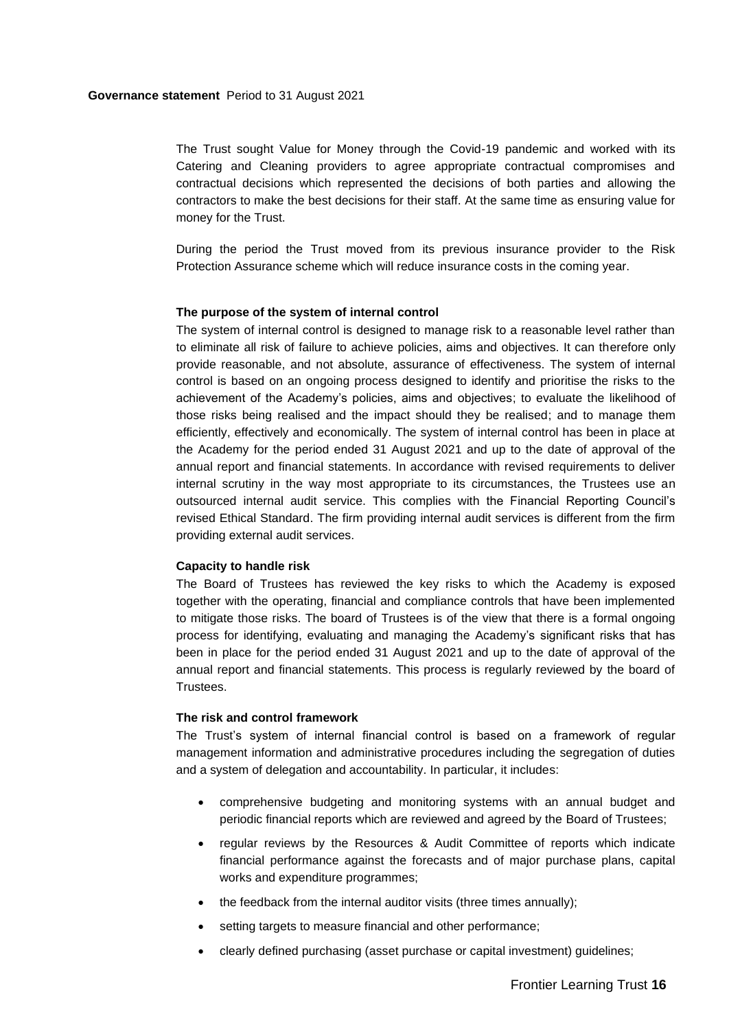The Trust sought Value for Money through the Covid-19 pandemic and worked with its Catering and Cleaning providers to agree appropriate contractual compromises and contractual decisions which represented the decisions of both parties and allowing the contractors to make the best decisions for their staff. At the same time as ensuring value for money for the Trust.

During the period the Trust moved from its previous insurance provider to the Risk Protection Assurance scheme which will reduce insurance costs in the coming year.

### **The purpose of the system of internal control**

The system of internal control is designed to manage risk to a reasonable level rather than to eliminate all risk of failure to achieve policies, aims and objectives. It can therefore only provide reasonable, and not absolute, assurance of effectiveness. The system of internal control is based on an ongoing process designed to identify and prioritise the risks to the achievement of the Academy's policies, aims and objectives; to evaluate the likelihood of those risks being realised and the impact should they be realised; and to manage them efficiently, effectively and economically. The system of internal control has been in place at the Academy for the period ended 31 August 2021 and up to the date of approval of the annual report and financial statements. In accordance with revised requirements to deliver internal scrutiny in the way most appropriate to its circumstances, the Trustees use an outsourced internal audit service. This complies with the Financial Reporting Council's revised Ethical Standard. The firm providing internal audit services is different from the firm providing external audit services.

#### **Capacity to handle risk**

The Board of Trustees has reviewed the key risks to which the Academy is exposed together with the operating, financial and compliance controls that have been implemented to mitigate those risks. The board of Trustees is of the view that there is a formal ongoing process for identifying, evaluating and managing the Academy's significant risks that has been in place for the period ended 31 August 2021 and up to the date of approval of the annual report and financial statements. This process is regularly reviewed by the board of Trustees.

### **The risk and control framework**

The Trust's system of internal financial control is based on a framework of regular management information and administrative procedures including the segregation of duties and a system of delegation and accountability. In particular, it includes:

- comprehensive budgeting and monitoring systems with an annual budget and periodic financial reports which are reviewed and agreed by the Board of Trustees;
- regular reviews by the Resources & Audit Committee of reports which indicate financial performance against the forecasts and of major purchase plans, capital works and expenditure programmes;
- the feedback from the internal auditor visits (three times annually);
- setting targets to measure financial and other performance;
- clearly defined purchasing (asset purchase or capital investment) guidelines;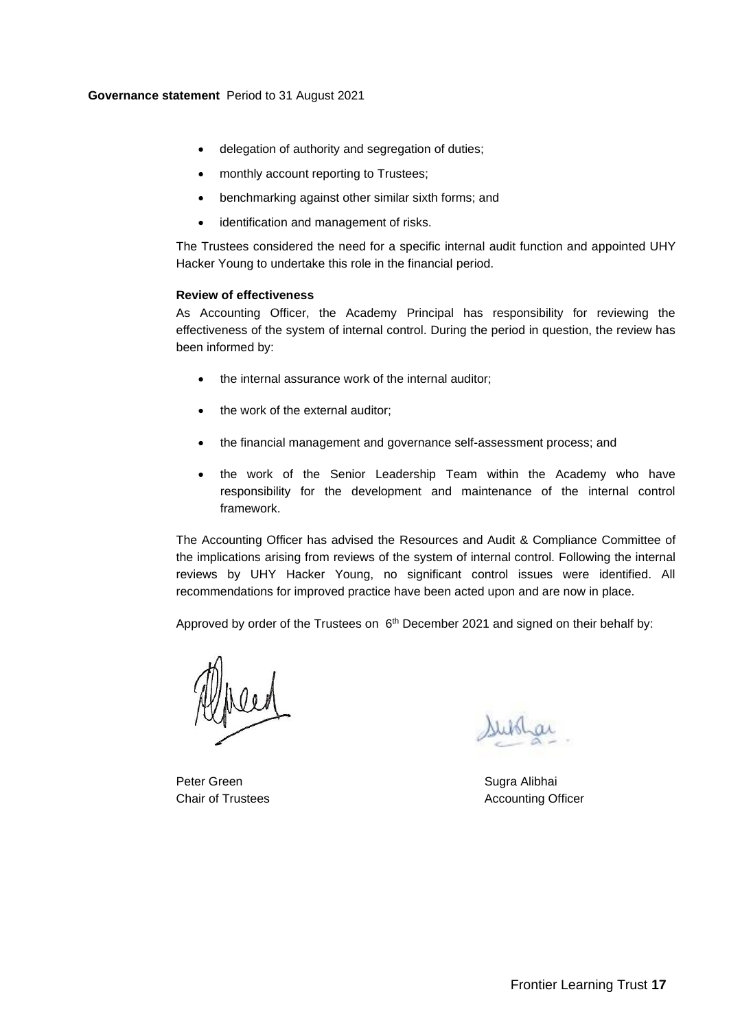# **Governance statement** Period to 31 August 2021

- delegation of authority and segregation of duties;
- monthly account reporting to Trustees;
- benchmarking against other similar sixth forms; and
- identification and management of risks.

The Trustees considered the need for a specific internal audit function and appointed UHY Hacker Young to undertake this role in the financial period.

# **Review of effectiveness**

As Accounting Officer, the Academy Principal has responsibility for reviewing the effectiveness of the system of internal control. During the period in question, the review has been informed by:

- the internal assurance work of the internal auditor;
- the work of the external auditor;
- the financial management and governance self-assessment process; and
- the work of the Senior Leadership Team within the Academy who have responsibility for the development and maintenance of the internal control framework.

The Accounting Officer has advised the Resources and Audit & Compliance Committee of the implications arising from reviews of the system of internal control. Following the internal reviews by UHY Hacker Young, no significant control issues were identified. All recommendations for improved practice have been acted upon and are now in place.

Approved by order of the Trustees on  $6<sup>th</sup>$  December 2021 and signed on their behalf by:

Peter Green Sugra Alibhai

Chair of Trustees **Accounting Officer** Accounting Officer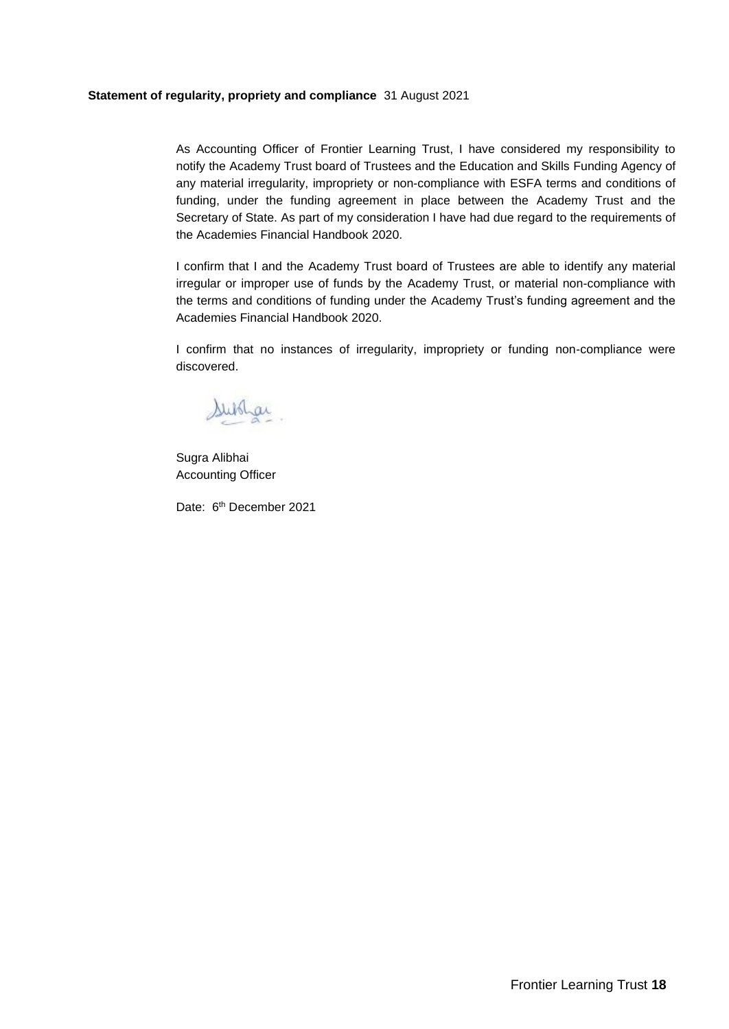# **Statement of regularity, propriety and compliance** 31 August 2021

As Accounting Officer of Frontier Learning Trust, I have considered my responsibility to notify the Academy Trust board of Trustees and the Education and Skills Funding Agency of any material irregularity, impropriety or non-compliance with ESFA terms and conditions of funding, under the funding agreement in place between the Academy Trust and the Secretary of State. As part of my consideration I have had due regard to the requirements of the Academies Financial Handbook 2020.

I confirm that I and the Academy Trust board of Trustees are able to identify any material irregular or improper use of funds by the Academy Trust, or material non-compliance with the terms and conditions of funding under the Academy Trust's funding agreement and the Academies Financial Handbook 2020.

I confirm that no instances of irregularity, impropriety or funding non-compliance were discovered.

Sublai

Sugra Alibhai Accounting Officer

Date: 6<sup>th</sup> December 2021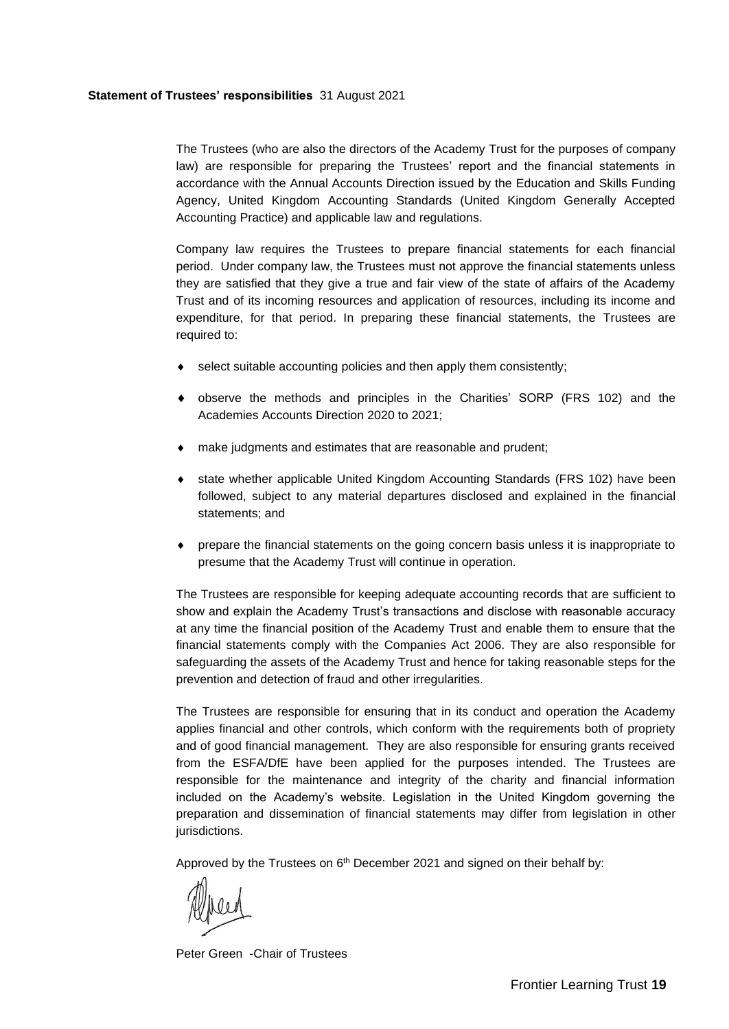### **Statement of Trustees' responsibilities** 31 August 2021

The Trustees (who are also the directors of the Academy Trust for the purposes of company law) are responsible for preparing the Trustees' report and the financial statements in accordance with the Annual Accounts Direction issued by the Education and Skills Funding Agency, United Kingdom Accounting Standards (United Kingdom Generally Accepted Accounting Practice) and applicable law and regulations.

Company law requires the Trustees to prepare financial statements for each financial period. Under company law, the Trustees must not approve the financial statements unless they are satisfied that they give a true and fair view of the state of affairs of the Academy Trust and of its incoming resources and application of resources, including its income and expenditure, for that period. In preparing these financial statements, the Trustees are required to:

- select suitable accounting policies and then apply them consistently;
- observe the methods and principles in the Charities' SORP (FRS 102) and the Academies Accounts Direction 2020 to 2021;
- make judgments and estimates that are reasonable and prudent;
- state whether applicable United Kingdom Accounting Standards (FRS 102) have been followed, subject to any material departures disclosed and explained in the financial statements; and
- prepare the financial statements on the going concern basis unless it is inappropriate to presume that the Academy Trust will continue in operation.

The Trustees are responsible for keeping adequate accounting records that are sufficient to show and explain the Academy Trust's transactions and disclose with reasonable accuracy at any time the financial position of the Academy Trust and enable them to ensure that the financial statements comply with the Companies Act 2006. They are also responsible for safeguarding the assets of the Academy Trust and hence for taking reasonable steps for the prevention and detection of fraud and other irregularities.

The Trustees are responsible for ensuring that in its conduct and operation the Academy applies financial and other controls, which conform with the requirements both of propriety and of good financial management. They are also responsible for ensuring grants received from the ESFA/DfE have been applied for the purposes intended. The Trustees are responsible for the maintenance and integrity of the charity and financial information included on the Academy's website. Legislation in the United Kingdom governing the preparation and dissemination of financial statements may differ from legislation in other jurisdictions.

Approved by the Trustees on 6<sup>th</sup> December 2021 and signed on their behalf by:

Peter Green -Chair of Trustees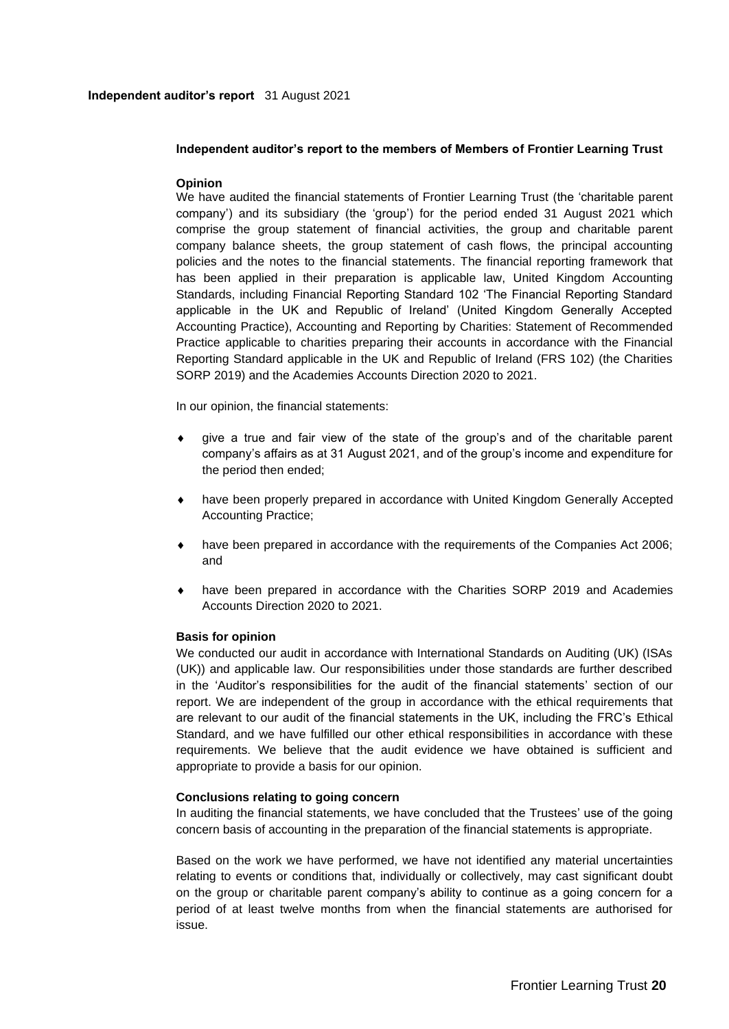# **Independent auditor's report to the members of Members of Frontier Learning Trust**

# **Opinion**

We have audited the financial statements of Frontier Learning Trust (the 'charitable parent company') and its subsidiary (the 'group') for the period ended 31 August 2021 which comprise the group statement of financial activities, the group and charitable parent company balance sheets, the group statement of cash flows, the principal accounting policies and the notes to the financial statements. The financial reporting framework that has been applied in their preparation is applicable law, United Kingdom Accounting Standards, including Financial Reporting Standard 102 'The Financial Reporting Standard applicable in the UK and Republic of Ireland' (United Kingdom Generally Accepted Accounting Practice), Accounting and Reporting by Charities: Statement of Recommended Practice applicable to charities preparing their accounts in accordance with the Financial Reporting Standard applicable in the UK and Republic of Ireland (FRS 102) (the Charities SORP 2019) and the Academies Accounts Direction 2020 to 2021.

In our opinion, the financial statements:

- give a true and fair view of the state of the group's and of the charitable parent company's affairs as at 31 August 2021, and of the group's income and expenditure for the period then ended;
- have been properly prepared in accordance with United Kingdom Generally Accepted Accounting Practice;
- have been prepared in accordance with the requirements of the Companies Act 2006; and
- have been prepared in accordance with the Charities SORP 2019 and Academies Accounts Direction 2020 to 2021.

### **Basis for opinion**

We conducted our audit in accordance with International Standards on Auditing (UK) (ISAs (UK)) and applicable law. Our responsibilities under those standards are further described in the 'Auditor's responsibilities for the audit of the financial statements' section of our report. We are independent of the group in accordance with the ethical requirements that are relevant to our audit of the financial statements in the UK, including the FRC's Ethical Standard, and we have fulfilled our other ethical responsibilities in accordance with these requirements. We believe that the audit evidence we have obtained is sufficient and appropriate to provide a basis for our opinion.

### **Conclusions relating to going concern**

In auditing the financial statements, we have concluded that the Trustees' use of the going concern basis of accounting in the preparation of the financial statements is appropriate.

Based on the work we have performed, we have not identified any material uncertainties relating to events or conditions that, individually or collectively, may cast significant doubt on the group or charitable parent company's ability to continue as a going concern for a period of at least twelve months from when the financial statements are authorised for issue.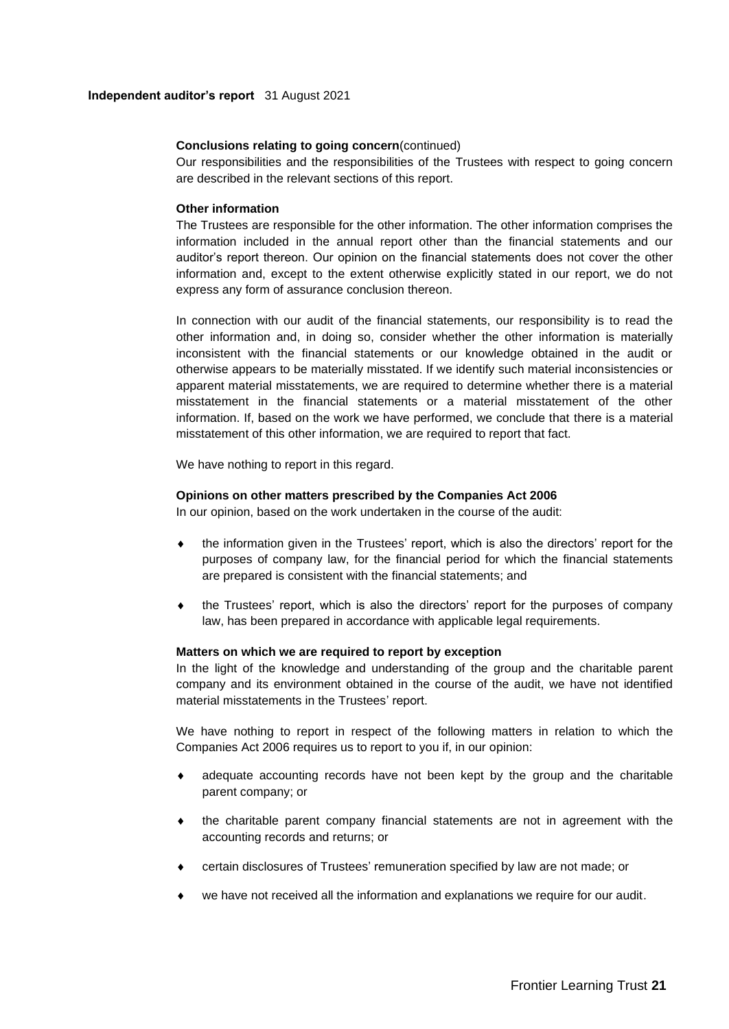### **Conclusions relating to going concern**(continued)

Our responsibilities and the responsibilities of the Trustees with respect to going concern are described in the relevant sections of this report.

#### **Other information**

The Trustees are responsible for the other information. The other information comprises the information included in the annual report other than the financial statements and our auditor's report thereon. Our opinion on the financial statements does not cover the other information and, except to the extent otherwise explicitly stated in our report, we do not express any form of assurance conclusion thereon.

In connection with our audit of the financial statements, our responsibility is to read the other information and, in doing so, consider whether the other information is materially inconsistent with the financial statements or our knowledge obtained in the audit or otherwise appears to be materially misstated. If we identify such material inconsistencies or apparent material misstatements, we are required to determine whether there is a material misstatement in the financial statements or a material misstatement of the other information. If, based on the work we have performed, we conclude that there is a material misstatement of this other information, we are required to report that fact.

We have nothing to report in this regard.

#### **Opinions on other matters prescribed by the Companies Act 2006**

In our opinion, based on the work undertaken in the course of the audit:

- the information given in the Trustees' report, which is also the directors' report for the purposes of company law, for the financial period for which the financial statements are prepared is consistent with the financial statements; and
- the Trustees' report, which is also the directors' report for the purposes of company law, has been prepared in accordance with applicable legal requirements.

### **Matters on which we are required to report by exception**

In the light of the knowledge and understanding of the group and the charitable parent company and its environment obtained in the course of the audit, we have not identified material misstatements in the Trustees' report.

We have nothing to report in respect of the following matters in relation to which the Companies Act 2006 requires us to report to you if, in our opinion:

- adequate accounting records have not been kept by the group and the charitable parent company; or
- the charitable parent company financial statements are not in agreement with the accounting records and returns; or
- certain disclosures of Trustees' remuneration specified by law are not made; or
- we have not received all the information and explanations we require for our audit.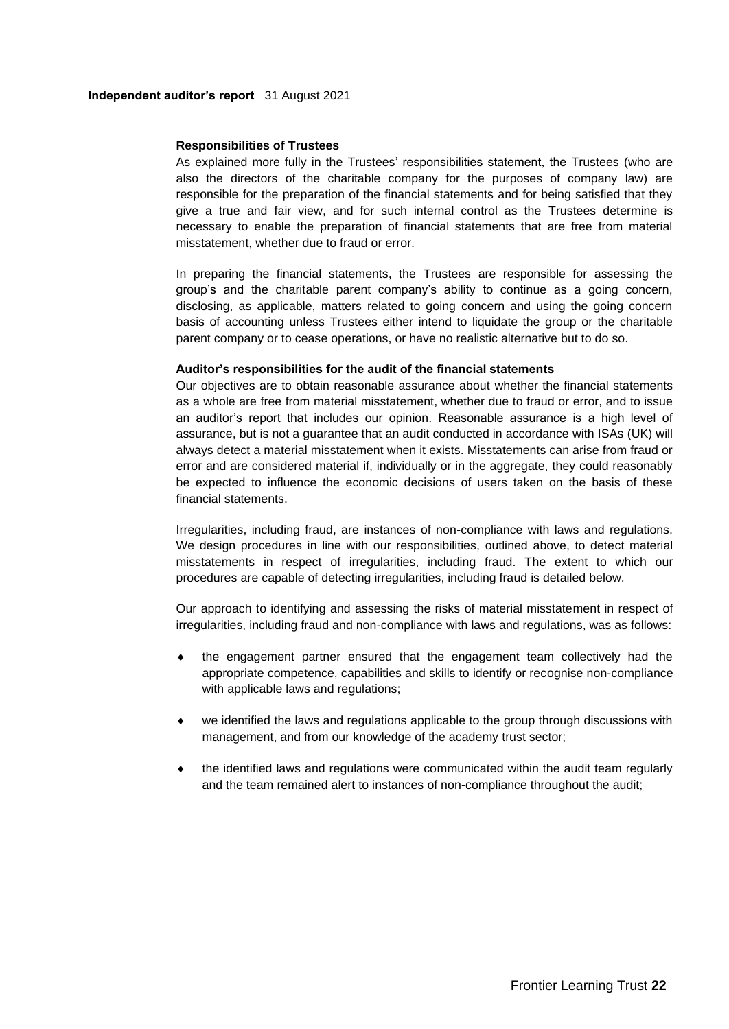#### **Responsibilities of Trustees**

As explained more fully in the Trustees' responsibilities statement, the Trustees (who are also the directors of the charitable company for the purposes of company law) are responsible for the preparation of the financial statements and for being satisfied that they give a true and fair view, and for such internal control as the Trustees determine is necessary to enable the preparation of financial statements that are free from material misstatement, whether due to fraud or error.

In preparing the financial statements, the Trustees are responsible for assessing the group's and the charitable parent company's ability to continue as a going concern, disclosing, as applicable, matters related to going concern and using the going concern basis of accounting unless Trustees either intend to liquidate the group or the charitable parent company or to cease operations, or have no realistic alternative but to do so.

#### **Auditor's responsibilities for the audit of the financial statements**

Our objectives are to obtain reasonable assurance about whether the financial statements as a whole are free from material misstatement, whether due to fraud or error, and to issue an auditor's report that includes our opinion. Reasonable assurance is a high level of assurance, but is not a guarantee that an audit conducted in accordance with ISAs (UK) will always detect a material misstatement when it exists. Misstatements can arise from fraud or error and are considered material if, individually or in the aggregate, they could reasonably be expected to influence the economic decisions of users taken on the basis of these financial statements.

Irregularities, including fraud, are instances of non-compliance with laws and regulations. We design procedures in line with our responsibilities, outlined above, to detect material misstatements in respect of irregularities, including fraud. The extent to which our procedures are capable of detecting irregularities, including fraud is detailed below.

Our approach to identifying and assessing the risks of material misstatement in respect of irregularities, including fraud and non-compliance with laws and regulations, was as follows:

- the engagement partner ensured that the engagement team collectively had the appropriate competence, capabilities and skills to identify or recognise non-compliance with applicable laws and regulations;
- we identified the laws and regulations applicable to the group through discussions with management, and from our knowledge of the academy trust sector;
- the identified laws and regulations were communicated within the audit team regularly and the team remained alert to instances of non-compliance throughout the audit;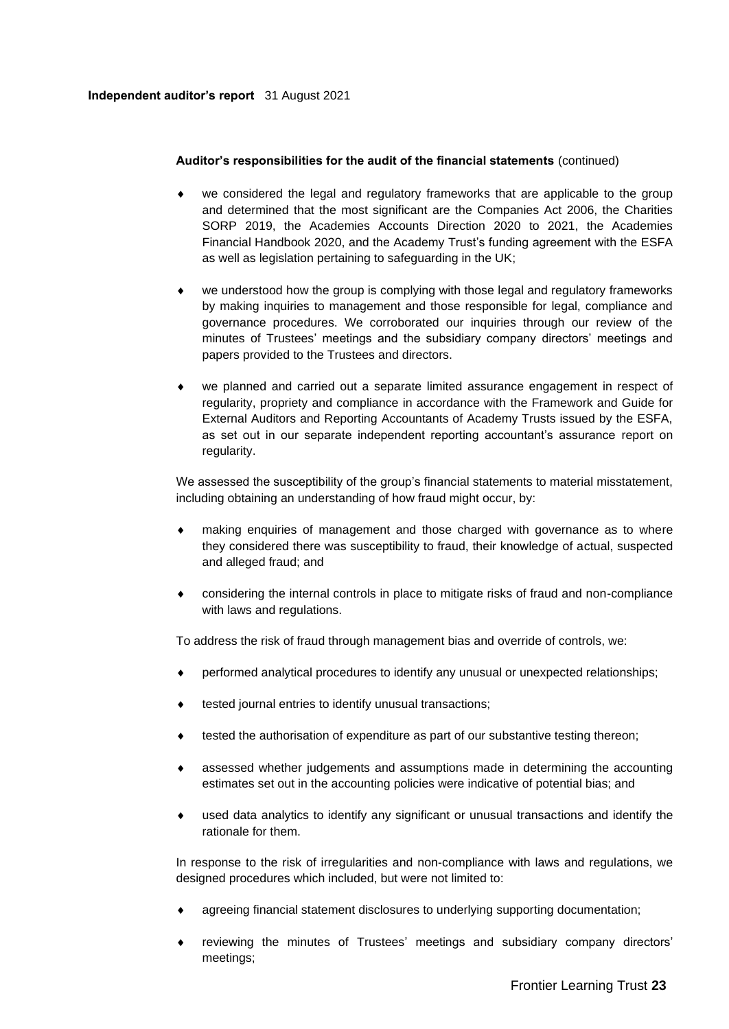### **Auditor's responsibilities for the audit of the financial statements** (continued)

- we considered the legal and regulatory frameworks that are applicable to the group and determined that the most significant are the Companies Act 2006, the Charities SORP 2019, the Academies Accounts Direction 2020 to 2021, the Academies Financial Handbook 2020, and the Academy Trust's funding agreement with the ESFA as well as legislation pertaining to safeguarding in the UK;
- we understood how the group is complying with those legal and regulatory frameworks by making inquiries to management and those responsible for legal, compliance and governance procedures. We corroborated our inquiries through our review of the minutes of Trustees' meetings and the subsidiary company directors' meetings and papers provided to the Trustees and directors.
- we planned and carried out a separate limited assurance engagement in respect of regularity, propriety and compliance in accordance with the Framework and Guide for External Auditors and Reporting Accountants of Academy Trusts issued by the ESFA, as set out in our separate independent reporting accountant's assurance report on regularity.

We assessed the susceptibility of the group's financial statements to material misstatement, including obtaining an understanding of how fraud might occur, by:

- making enquiries of management and those charged with governance as to where they considered there was susceptibility to fraud, their knowledge of actual, suspected and alleged fraud; and
- considering the internal controls in place to mitigate risks of fraud and non-compliance with laws and regulations.

To address the risk of fraud through management bias and override of controls, we:

- performed analytical procedures to identify any unusual or unexpected relationships;
- tested journal entries to identify unusual transactions;
- tested the authorisation of expenditure as part of our substantive testing thereon;
- assessed whether judgements and assumptions made in determining the accounting estimates set out in the accounting policies were indicative of potential bias; and
- used data analytics to identify any significant or unusual transactions and identify the rationale for them.

In response to the risk of irregularities and non-compliance with laws and regulations, we designed procedures which included, but were not limited to:

- agreeing financial statement disclosures to underlying supporting documentation;
- reviewing the minutes of Trustees' meetings and subsidiary company directors' meetings;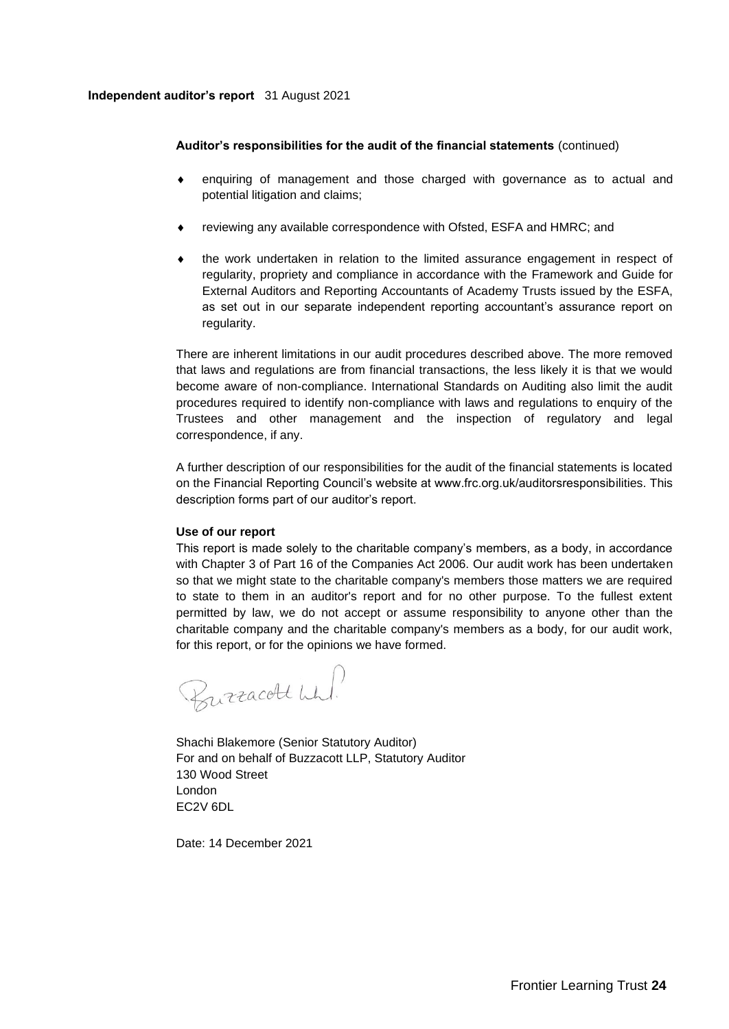### **Independent auditor's report** 31 August 2021

# **Auditor's responsibilities for the audit of the financial statements** (continued)

- enquiring of management and those charged with governance as to actual and potential litigation and claims;
- reviewing any available correspondence with Ofsted, ESFA and HMRC; and
- the work undertaken in relation to the limited assurance engagement in respect of regularity, propriety and compliance in accordance with the Framework and Guide for External Auditors and Reporting Accountants of Academy Trusts issued by the ESFA, as set out in our separate independent reporting accountant's assurance report on regularity.

There are inherent limitations in our audit procedures described above. The more removed that laws and regulations are from financial transactions, the less likely it is that we would become aware of non-compliance. International Standards on Auditing also limit the audit procedures required to identify non-compliance with laws and regulations to enquiry of the Trustees and other management and the inspection of regulatory and legal correspondence, if any.

A further description of our responsibilities for the audit of the financial statements is located on the Financial Reporting Council's website at www.frc.org.uk/auditorsresponsibilities. This description forms part of our auditor's report.

# **Use of our report**

This report is made solely to the charitable company's members, as a body, in accordance with Chapter 3 of Part 16 of the Companies Act 2006. Our audit work has been undertaken so that we might state to the charitable company's members those matters we are required to state to them in an auditor's report and for no other purpose. To the fullest extent permitted by law, we do not accept or assume responsibility to anyone other than the charitable company and the charitable company's members as a body, for our audit work, for this report, or for the opinions we have formed.

Burracolt wh

Shachi Blakemore (Senior Statutory Auditor) For and on behalf of Buzzacott LLP, Statutory Auditor 130 Wood Street London EC2V 6DL

Date: 14 December 2021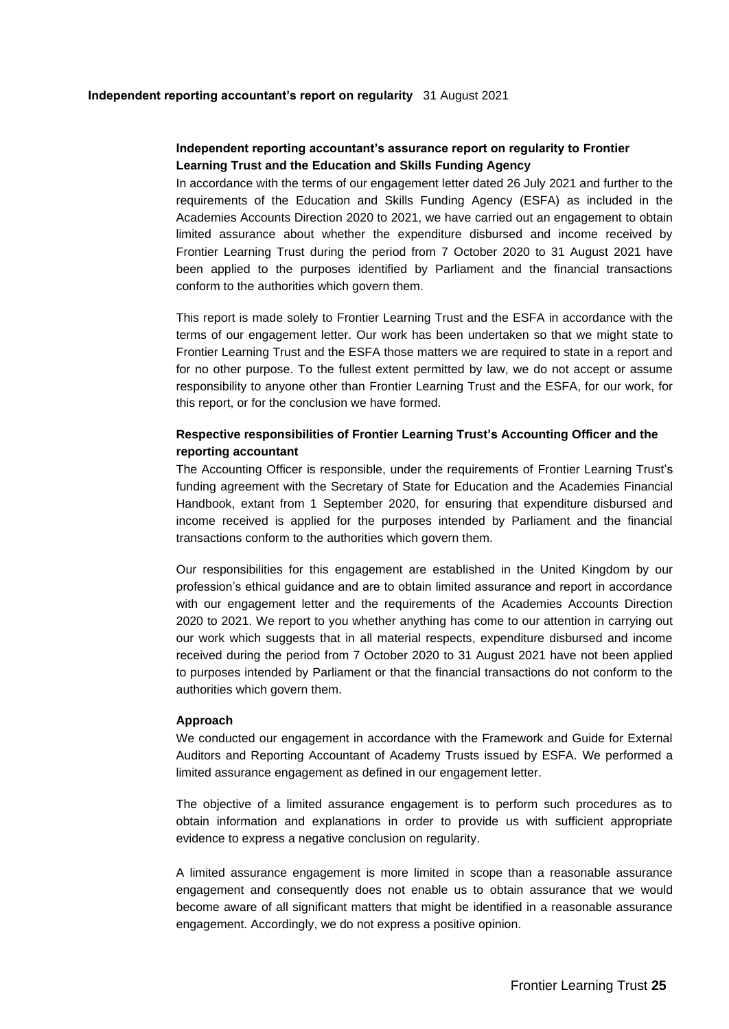### **Independent reporting accountant's report on regularity** 31 August 2021

# **Independent reporting accountant's assurance report on regularity to Frontier Learning Trust and the Education and Skills Funding Agency**

In accordance with the terms of our engagement letter dated 26 July 2021 and further to the requirements of the Education and Skills Funding Agency (ESFA) as included in the Academies Accounts Direction 2020 to 2021, we have carried out an engagement to obtain limited assurance about whether the expenditure disbursed and income received by Frontier Learning Trust during the period from 7 October 2020 to 31 August 2021 have been applied to the purposes identified by Parliament and the financial transactions conform to the authorities which govern them.

This report is made solely to Frontier Learning Trust and the ESFA in accordance with the terms of our engagement letter. Our work has been undertaken so that we might state to Frontier Learning Trust and the ESFA those matters we are required to state in a report and for no other purpose. To the fullest extent permitted by law, we do not accept or assume responsibility to anyone other than Frontier Learning Trust and the ESFA, for our work, for this report, or for the conclusion we have formed.

# **Respective responsibilities of Frontier Learning Trust's Accounting Officer and the reporting accountant**

The Accounting Officer is responsible, under the requirements of Frontier Learning Trust's funding agreement with the Secretary of State for Education and the Academies Financial Handbook, extant from 1 September 2020, for ensuring that expenditure disbursed and income received is applied for the purposes intended by Parliament and the financial transactions conform to the authorities which govern them.

Our responsibilities for this engagement are established in the United Kingdom by our profession's ethical guidance and are to obtain limited assurance and report in accordance with our engagement letter and the requirements of the Academies Accounts Direction 2020 to 2021. We report to you whether anything has come to our attention in carrying out our work which suggests that in all material respects, expenditure disbursed and income received during the period from 7 October 2020 to 31 August 2021 have not been applied to purposes intended by Parliament or that the financial transactions do not conform to the authorities which govern them.

### **Approach**

We conducted our engagement in accordance with the Framework and Guide for External Auditors and Reporting Accountant of Academy Trusts issued by ESFA. We performed a limited assurance engagement as defined in our engagement letter.

The objective of a limited assurance engagement is to perform such procedures as to obtain information and explanations in order to provide us with sufficient appropriate evidence to express a negative conclusion on regularity.

A limited assurance engagement is more limited in scope than a reasonable assurance engagement and consequently does not enable us to obtain assurance that we would become aware of all significant matters that might be identified in a reasonable assurance engagement. Accordingly, we do not express a positive opinion.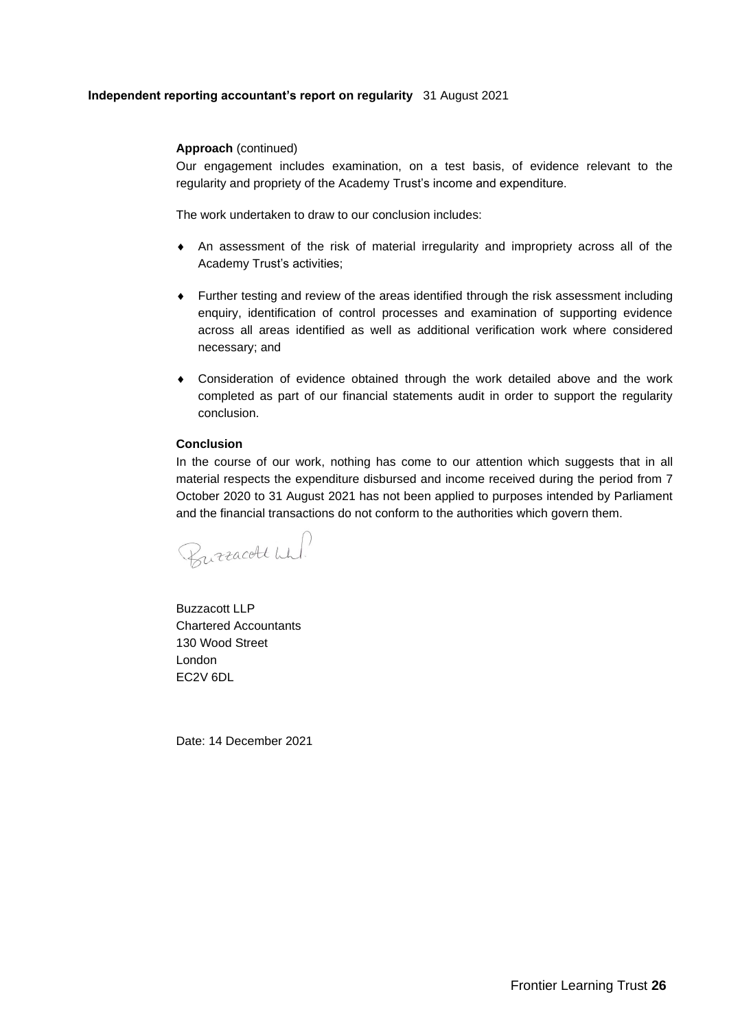# **Independent reporting accountant's report on regularity** 31 August 2021

### **Approach** (continued)

Our engagement includes examination, on a test basis, of evidence relevant to the regularity and propriety of the Academy Trust's income and expenditure.

The work undertaken to draw to our conclusion includes:

- An assessment of the risk of material irregularity and impropriety across all of the Academy Trust's activities;
- Further testing and review of the areas identified through the risk assessment including enquiry, identification of control processes and examination of supporting evidence across all areas identified as well as additional verification work where considered necessary; and
- Consideration of evidence obtained through the work detailed above and the work completed as part of our financial statements audit in order to support the regularity conclusion.

### **Conclusion**

In the course of our work, nothing has come to our attention which suggests that in all material respects the expenditure disbursed and income received during the period from 7 October 2020 to 31 August 2021 has not been applied to purposes intended by Parliament and the financial transactions do not conform to the authorities which govern them.

Burracott wh!

Buzzacott LLP Chartered Accountants 130 Wood Street London EC2V 6DL

Date: 14 December 2021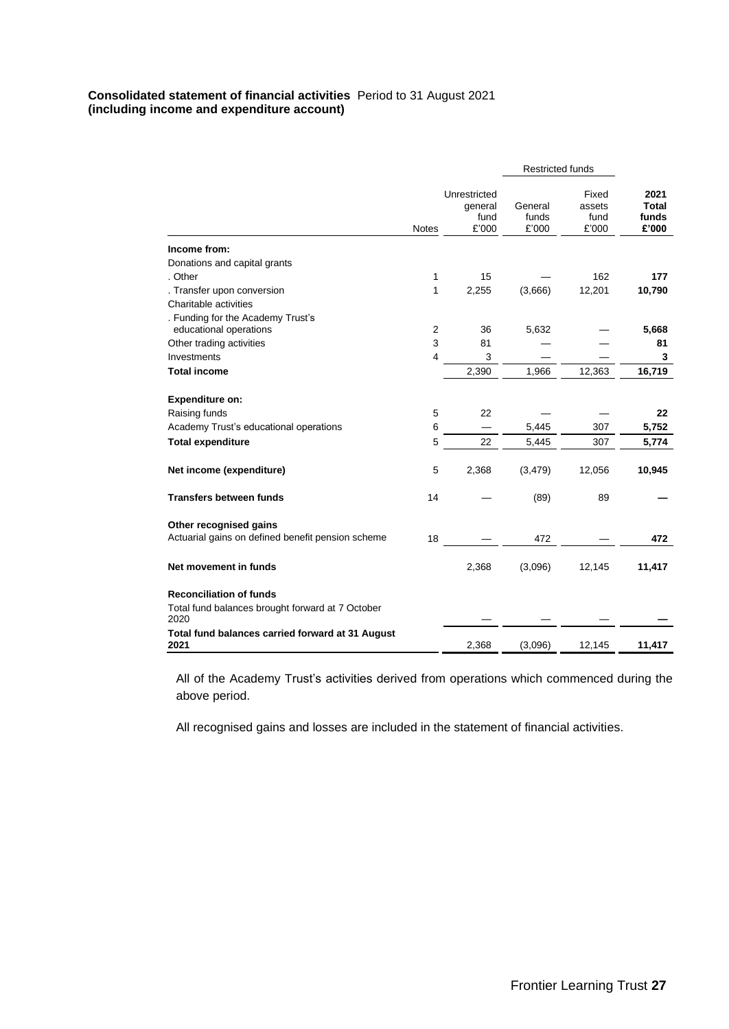# **Consolidated statement of financial activities** Period to 31 August 2021 **(including income and expenditure account)**

|                                                                             |                |                                          | <b>Restricted funds</b>   |                                  |                                 |
|-----------------------------------------------------------------------------|----------------|------------------------------------------|---------------------------|----------------------------------|---------------------------------|
|                                                                             | <b>Notes</b>   | Unrestricted<br>general<br>fund<br>£'000 | General<br>funds<br>£'000 | Fixed<br>assets<br>fund<br>£'000 | 2021<br>Total<br>funds<br>£'000 |
| Income from:                                                                |                |                                          |                           |                                  |                                 |
| Donations and capital grants                                                |                |                                          |                           |                                  |                                 |
| . Other                                                                     | 1              | 15                                       |                           | 162                              | 177                             |
| . Transfer upon conversion                                                  | 1              | 2,255                                    | (3,666)                   | 12,201                           | 10,790                          |
| Charitable activities                                                       |                |                                          |                           |                                  |                                 |
| . Funding for the Academy Trust's                                           |                |                                          |                           |                                  |                                 |
| educational operations                                                      | $\overline{2}$ | 36                                       | 5,632                     |                                  | 5,668                           |
| Other trading activities                                                    | 3              | 81                                       |                           |                                  | 81                              |
| Investments                                                                 | 4              | 3                                        |                           |                                  | 3                               |
| <b>Total income</b>                                                         |                | 2,390                                    | 1,966                     | 12,363                           | 16,719                          |
| <b>Expenditure on:</b><br>Raising funds                                     | 5              | 22                                       |                           |                                  | 22                              |
| Academy Trust's educational operations                                      | 6              |                                          | 5,445                     | 307                              | 5,752                           |
| <b>Total expenditure</b>                                                    | 5              | 22                                       | 5,445                     | 307                              | 5,774                           |
| Net income (expenditure)                                                    | 5              | 2,368                                    | (3, 479)                  | 12,056                           | 10,945                          |
| <b>Transfers between funds</b>                                              | 14             |                                          | (89)                      | 89                               |                                 |
| Other recognised gains<br>Actuarial gains on defined benefit pension scheme | 18             |                                          | 472                       |                                  | 472                             |
| Net movement in funds                                                       |                | 2,368                                    | (3,096)                   | 12,145                           | 11,417                          |
| <b>Reconciliation of funds</b>                                              |                |                                          |                           |                                  |                                 |
| Total fund balances brought forward at 7 October<br>2020                    |                |                                          |                           |                                  |                                 |
| Total fund balances carried forward at 31 August<br>2021                    |                | 2,368                                    | (3,096)                   | 12,145                           | 11,417                          |

All of the Academy Trust's activities derived from operations which commenced during the above period.

All recognised gains and losses are included in the statement of financial activities.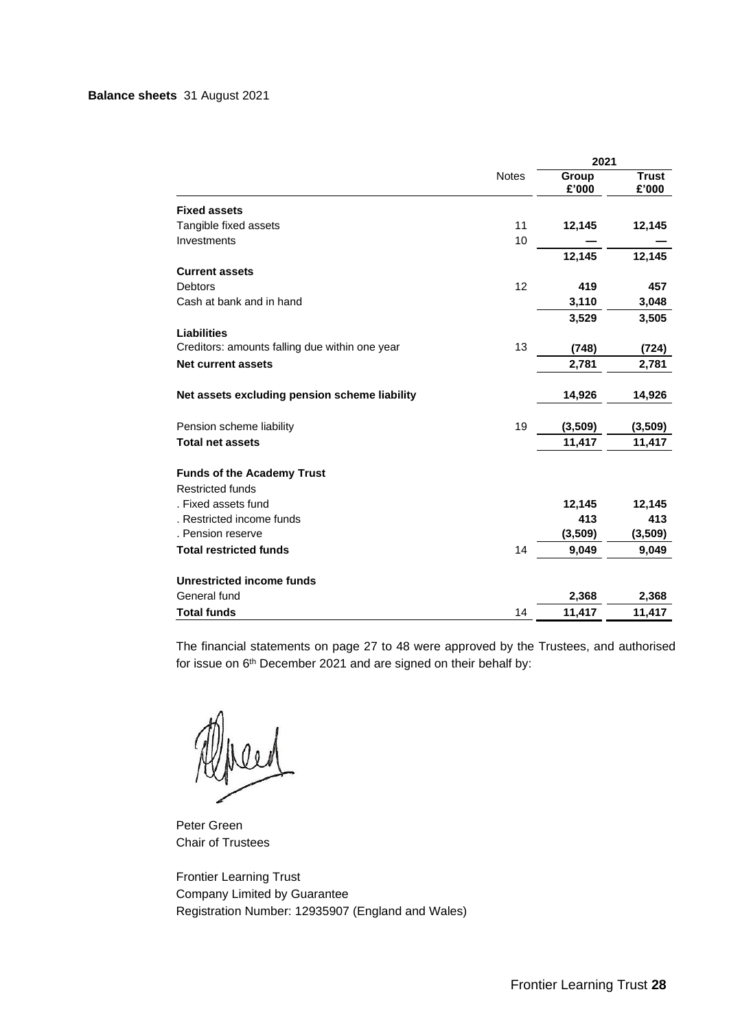# **Balance sheets** 31 August 2021

|                                                              | <b>Notes</b> | 2021           |                       |
|--------------------------------------------------------------|--------------|----------------|-----------------------|
|                                                              |              | Group<br>£'000 | <b>Trust</b><br>£'000 |
| <b>Fixed assets</b>                                          |              |                |                       |
| Tangible fixed assets                                        | 11           | 12,145         | 12,145                |
| Investments                                                  | 10           |                |                       |
|                                                              |              | 12,145         | 12,145                |
| <b>Current assets</b>                                        |              |                |                       |
| <b>Debtors</b>                                               | 12           | 419            | 457                   |
| Cash at bank and in hand                                     |              | 3,110          | 3,048                 |
|                                                              |              | 3,529          | 3,505                 |
| <b>Liabilities</b>                                           |              |                |                       |
| Creditors: amounts falling due within one year               | 13           | (748)          | (724)                 |
| Net current assets                                           |              | 2,781          | 2,781                 |
| Net assets excluding pension scheme liability                |              | 14,926         | 14,926                |
| Pension scheme liability                                     | 19           | (3,509)        | (3,509)               |
| <b>Total net assets</b>                                      |              | 11,417         | 11,417                |
| <b>Funds of the Academy Trust</b><br><b>Restricted funds</b> |              |                |                       |
| . Fixed assets fund                                          |              | 12,145         | 12,145                |
| . Restricted income funds                                    |              | 413            | 413                   |
| . Pension reserve                                            |              | (3,509)        | (3,509)               |
| <b>Total restricted funds</b>                                | 14           | 9,049          | 9,049                 |
| <b>Unrestricted income funds</b>                             |              |                |                       |
| General fund                                                 |              | 2,368          | 2,368                 |
| <b>Total funds</b>                                           | 14           | 11,417         | 11,417                |

The financial statements on page 27 to 48 were approved by the Trustees, and authorised for issue on 6<sup>th</sup> December 2021 and are signed on their behalf by:

 $\mathcal{Q}$ 

Peter Green Chair of Trustees

Frontier Learning Trust Company Limited by Guarantee Registration Number: 12935907 (England and Wales)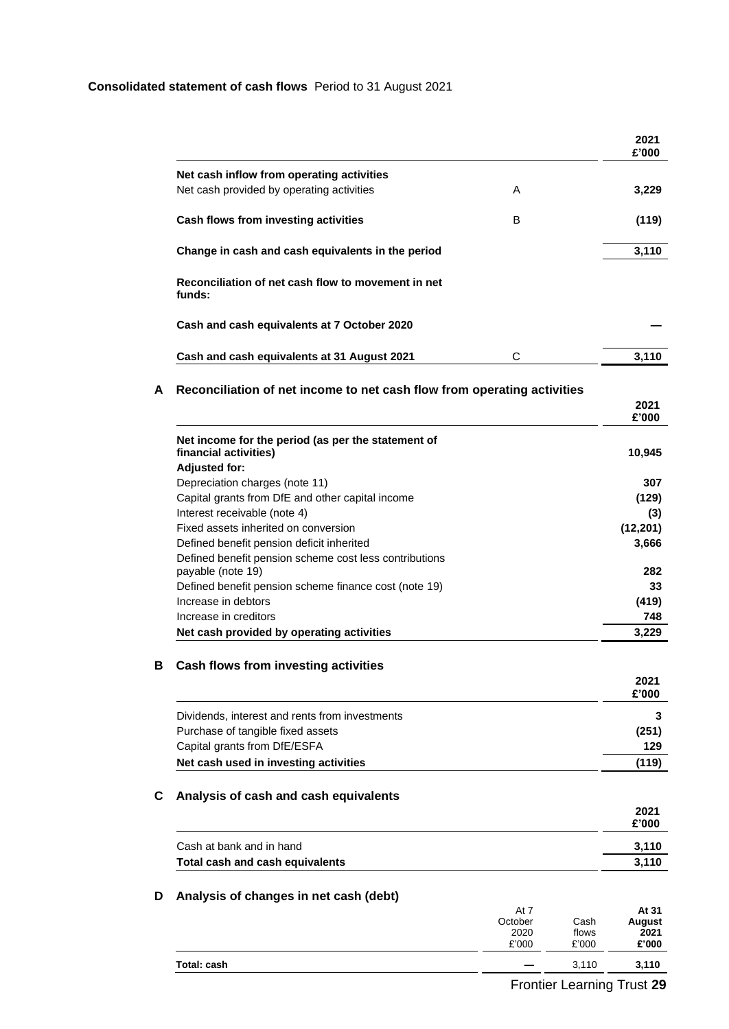# **Consolidated statement of cash flows** Period to 31 August 2021

|                                                              |   | 2021<br>£'000 |
|--------------------------------------------------------------|---|---------------|
| Net cash inflow from operating activities                    |   |               |
| Net cash provided by operating activities                    | A | 3,229         |
| Cash flows from investing activities                         | B | (119)         |
| Change in cash and cash equivalents in the period            |   | 3,110         |
| Reconciliation of net cash flow to movement in net<br>funds: |   |               |
| Cash and cash equivalents at 7 October 2020                  |   |               |
| Cash and cash equivalents at 31 August 2021                  | C | 3,110         |

# **A Reconciliation of net income to net cash flow from operating activities**

|                                                                                                     | £'000     |
|-----------------------------------------------------------------------------------------------------|-----------|
| Net income for the period (as per the statement of<br>financial activities)<br><b>Adjusted for:</b> | 10,945    |
| Depreciation charges (note 11)                                                                      | 307       |
| Capital grants from DfE and other capital income                                                    | (129)     |
| Interest receivable (note 4)                                                                        | (3)       |
| Fixed assets inherited on conversion                                                                | (12, 201) |
| Defined benefit pension deficit inherited                                                           | 3,666     |
| Defined benefit pension scheme cost less contributions<br>payable (note 19)                         | 282       |
| Defined benefit pension scheme finance cost (note 19)                                               | 33        |
| Increase in debtors                                                                                 | (419)     |
| Increase in creditors                                                                               | 748       |
| Net cash provided by operating activities                                                           | 3,229     |

# **B Cash flows from investing activities**

|                                                | 2021<br>£'000 |
|------------------------------------------------|---------------|
| Dividends, interest and rents from investments |               |
| Purchase of tangible fixed assets              | (251)         |
| Capital grants from DfE/ESFA                   | 129           |
| Net cash used in investing activities          | (119)         |

# **C Analysis of cash and cash equivalents**

|                                 | 2021<br>£'000 |
|---------------------------------|---------------|
| Cash at bank and in hand        | 3.110         |
| Total cash and cash equivalents | 3.110         |

# **D Analysis of changes in net cash (debt)**

|             | At 7<br>October<br>2020 | Cash<br>flows | At 31<br>August<br>2021 |
|-------------|-------------------------|---------------|-------------------------|
| Total: cash | £'000                   | £'000         | £'000                   |
|             | –                       | 3,110         | 3,110                   |

**2021**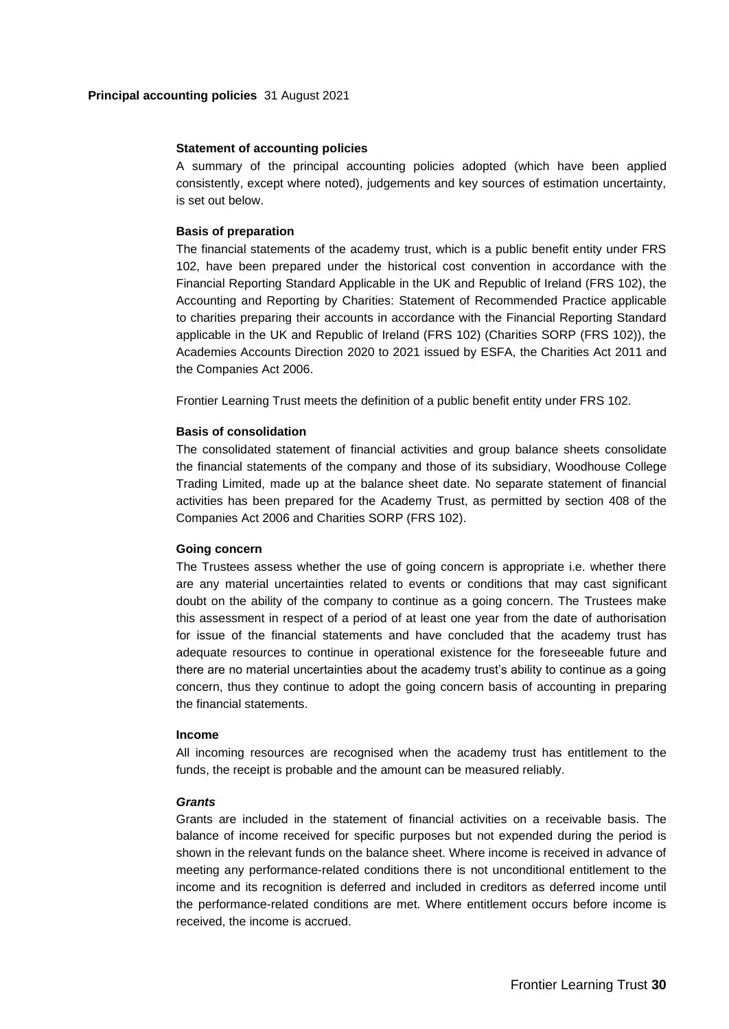# **Statement of accounting policies**

A summary of the principal accounting policies adopted (which have been applied consistently, except where noted), judgements and key sources of estimation uncertainty, is set out below.

# **Basis of preparation**

The financial statements of the academy trust, which is a public benefit entity under FRS 102, have been prepared under the historical cost convention in accordance with the Financial Reporting Standard Applicable in the UK and Republic of Ireland (FRS 102), the Accounting and Reporting by Charities: Statement of Recommended Practice applicable to charities preparing their accounts in accordance with the Financial Reporting Standard applicable in the UK and Republic of Ireland (FRS 102) (Charities SORP (FRS 102)), the Academies Accounts Direction 2020 to 2021 issued by ESFA, the Charities Act 2011 and the Companies Act 2006.

Frontier Learning Trust meets the definition of a public benefit entity under FRS 102.

### **Basis of consolidation**

The consolidated statement of financial activities and group balance sheets consolidate the financial statements of the company and those of its subsidiary, Woodhouse College Trading Limited, made up at the balance sheet date. No separate statement of financial activities has been prepared for the Academy Trust, as permitted by section 408 of the Companies Act 2006 and Charities SORP (FRS 102).

### **Going concern**

The Trustees assess whether the use of going concern is appropriate i.e. whether there are any material uncertainties related to events or conditions that may cast significant doubt on the ability of the company to continue as a going concern. The Trustees make this assessment in respect of a period of at least one year from the date of authorisation for issue of the financial statements and have concluded that the academy trust has adequate resources to continue in operational existence for the foreseeable future and there are no material uncertainties about the academy trust's ability to continue as a going concern, thus they continue to adopt the going concern basis of accounting in preparing the financial statements.

### **Income**

All incoming resources are recognised when the academy trust has entitlement to the funds, the receipt is probable and the amount can be measured reliably.

### *Grants*

Grants are included in the statement of financial activities on a receivable basis. The balance of income received for specific purposes but not expended during the period is shown in the relevant funds on the balance sheet. Where income is received in advance of meeting any performance-related conditions there is not unconditional entitlement to the income and its recognition is deferred and included in creditors as deferred income until the performance-related conditions are met. Where entitlement occurs before income is received, the income is accrued.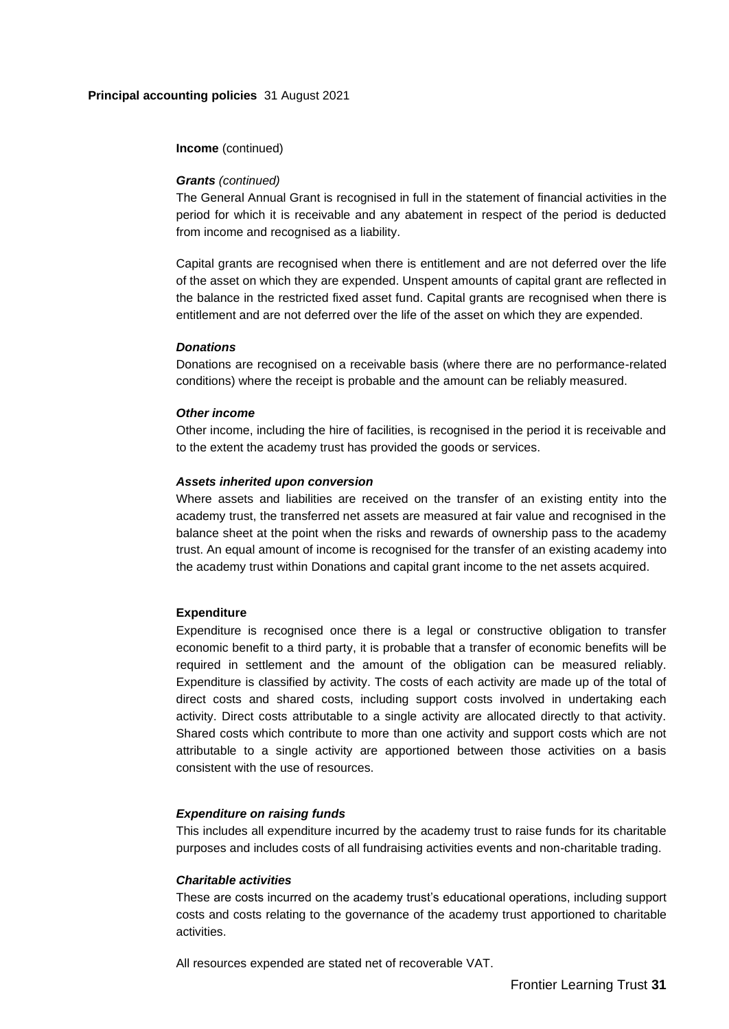### **Income** (continued)

### *Grants (continued)*

The General Annual Grant is recognised in full in the statement of financial activities in the period for which it is receivable and any abatement in respect of the period is deducted from income and recognised as a liability.

Capital grants are recognised when there is entitlement and are not deferred over the life of the asset on which they are expended. Unspent amounts of capital grant are reflected in the balance in the restricted fixed asset fund. Capital grants are recognised when there is entitlement and are not deferred over the life of the asset on which they are expended.

#### *Donations*

Donations are recognised on a receivable basis (where there are no performance-related conditions) where the receipt is probable and the amount can be reliably measured.

### *Other income*

Other income, including the hire of facilities, is recognised in the period it is receivable and to the extent the academy trust has provided the goods or services.

### *Assets inherited upon conversion*

Where assets and liabilities are received on the transfer of an existing entity into the academy trust, the transferred net assets are measured at fair value and recognised in the balance sheet at the point when the risks and rewards of ownership pass to the academy trust. An equal amount of income is recognised for the transfer of an existing academy into the academy trust within Donations and capital grant income to the net assets acquired.

### **Expenditure**

Expenditure is recognised once there is a legal or constructive obligation to transfer economic benefit to a third party, it is probable that a transfer of economic benefits will be required in settlement and the amount of the obligation can be measured reliably. Expenditure is classified by activity. The costs of each activity are made up of the total of direct costs and shared costs, including support costs involved in undertaking each activity. Direct costs attributable to a single activity are allocated directly to that activity. Shared costs which contribute to more than one activity and support costs which are not attributable to a single activity are apportioned between those activities on a basis consistent with the use of resources.

### *Expenditure on raising funds*

This includes all expenditure incurred by the academy trust to raise funds for its charitable purposes and includes costs of all fundraising activities events and non-charitable trading.

# *Charitable activities*

These are costs incurred on the academy trust's educational operations, including support costs and costs relating to the governance of the academy trust apportioned to charitable activities.

All resources expended are stated net of recoverable VAT.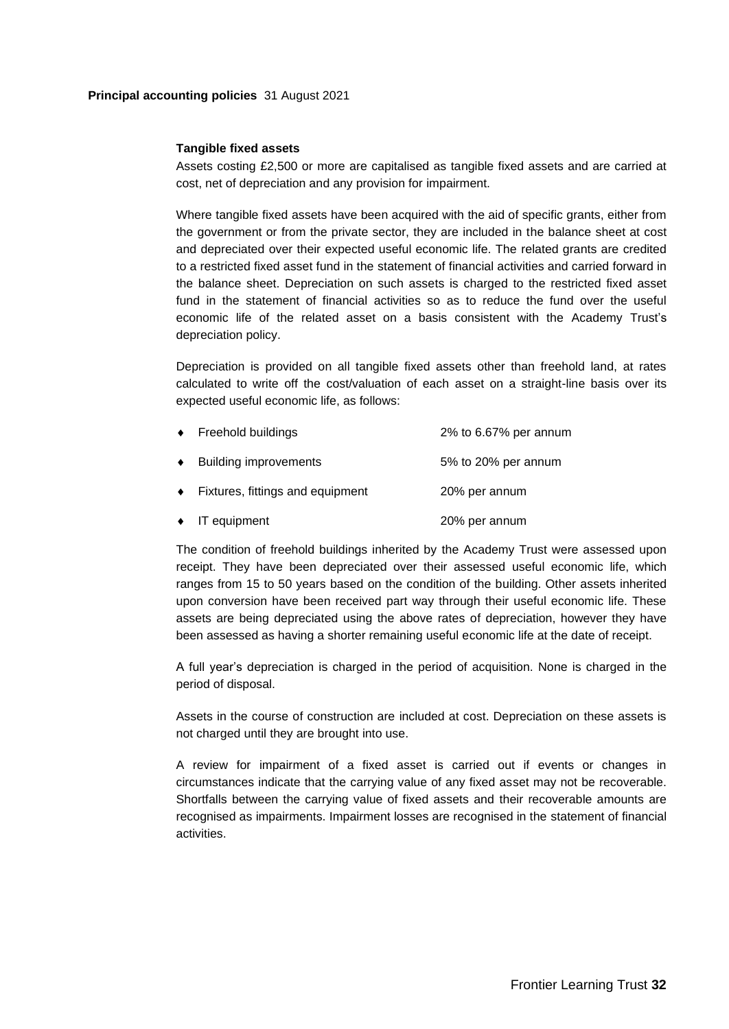# **Principal accounting policies** 31 August 2021

### **Tangible fixed assets**

Assets costing £2,500 or more are capitalised as tangible fixed assets and are carried at cost, net of depreciation and any provision for impairment.

Where tangible fixed assets have been acquired with the aid of specific grants, either from the government or from the private sector, they are included in the balance sheet at cost and depreciated over their expected useful economic life. The related grants are credited to a restricted fixed asset fund in the statement of financial activities and carried forward in the balance sheet. Depreciation on such assets is charged to the restricted fixed asset fund in the statement of financial activities so as to reduce the fund over the useful economic life of the related asset on a basis consistent with the Academy Trust's depreciation policy.

Depreciation is provided on all tangible fixed assets other than freehold land, at rates calculated to write off the cost/valuation of each asset on a straight-line basis over its expected useful economic life, as follows:

| ♦ Freehold buildings                       | 2% to 6.67% per annum |
|--------------------------------------------|-----------------------|
| ♦ Building improvements                    | 5% to 20% per annum   |
| $\bullet$ Fixtures, fittings and equipment | 20% per annum         |
| $\bullet$ IT equipment                     | 20% per annum         |

The condition of freehold buildings inherited by the Academy Trust were assessed upon receipt. They have been depreciated over their assessed useful economic life, which ranges from 15 to 50 years based on the condition of the building. Other assets inherited upon conversion have been received part way through their useful economic life. These assets are being depreciated using the above rates of depreciation, however they have been assessed as having a shorter remaining useful economic life at the date of receipt.

A full year's depreciation is charged in the period of acquisition. None is charged in the period of disposal.

Assets in the course of construction are included at cost. Depreciation on these assets is not charged until they are brought into use.

A review for impairment of a fixed asset is carried out if events or changes in circumstances indicate that the carrying value of any fixed asset may not be recoverable. Shortfalls between the carrying value of fixed assets and their recoverable amounts are recognised as impairments. Impairment losses are recognised in the statement of financial activities.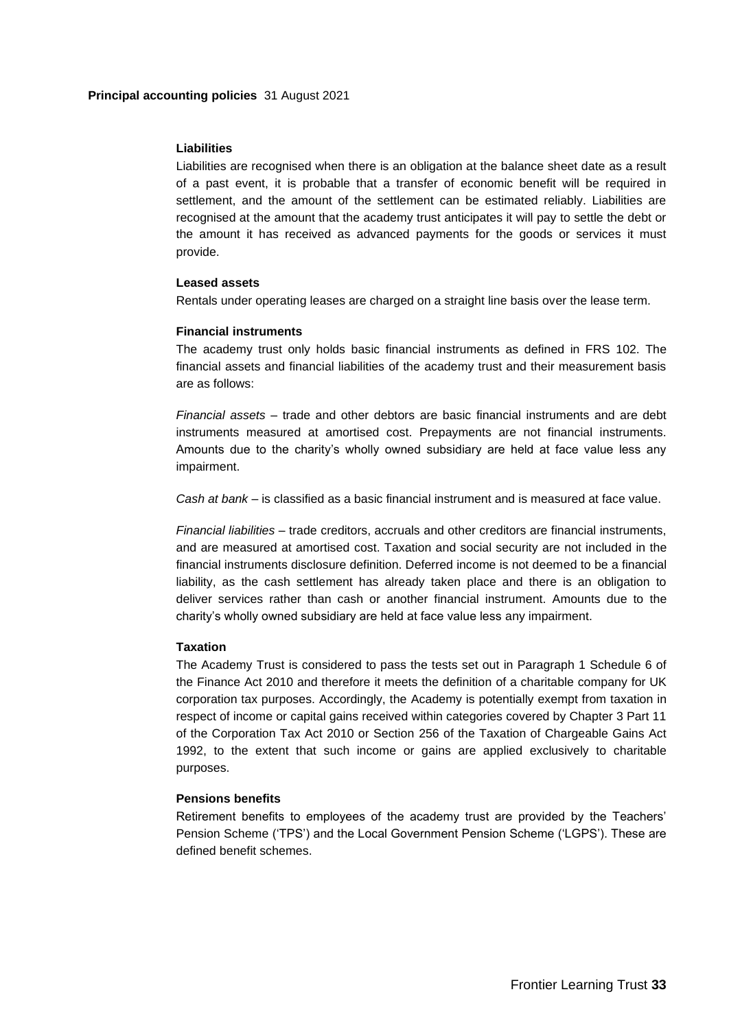# **Liabilities**

Liabilities are recognised when there is an obligation at the balance sheet date as a result of a past event, it is probable that a transfer of economic benefit will be required in settlement, and the amount of the settlement can be estimated reliably. Liabilities are recognised at the amount that the academy trust anticipates it will pay to settle the debt or the amount it has received as advanced payments for the goods or services it must provide.

# **Leased assets**

Rentals under operating leases are charged on a straight line basis over the lease term.

# **Financial instruments**

The academy trust only holds basic financial instruments as defined in FRS 102. The financial assets and financial liabilities of the academy trust and their measurement basis are as follows:

*Financial assets* – trade and other debtors are basic financial instruments and are debt instruments measured at amortised cost. Prepayments are not financial instruments. Amounts due to the charity's wholly owned subsidiary are held at face value less any impairment.

*Cash at bank* – is classified as a basic financial instrument and is measured at face value.

*Financial liabilities* – trade creditors, accruals and other creditors are financial instruments, and are measured at amortised cost. Taxation and social security are not included in the financial instruments disclosure definition. Deferred income is not deemed to be a financial liability, as the cash settlement has already taken place and there is an obligation to deliver services rather than cash or another financial instrument. Amounts due to the charity's wholly owned subsidiary are held at face value less any impairment.

### **Taxation**

The Academy Trust is considered to pass the tests set out in Paragraph 1 Schedule 6 of the Finance Act 2010 and therefore it meets the definition of a charitable company for UK corporation tax purposes. Accordingly, the Academy is potentially exempt from taxation in respect of income or capital gains received within categories covered by Chapter 3 Part 11 of the Corporation Tax Act 2010 or Section 256 of the Taxation of Chargeable Gains Act 1992, to the extent that such income or gains are applied exclusively to charitable purposes.

# **Pensions benefits**

Retirement benefits to employees of the academy trust are provided by the Teachers' Pension Scheme ('TPS') and the Local Government Pension Scheme ('LGPS'). These are defined benefit schemes.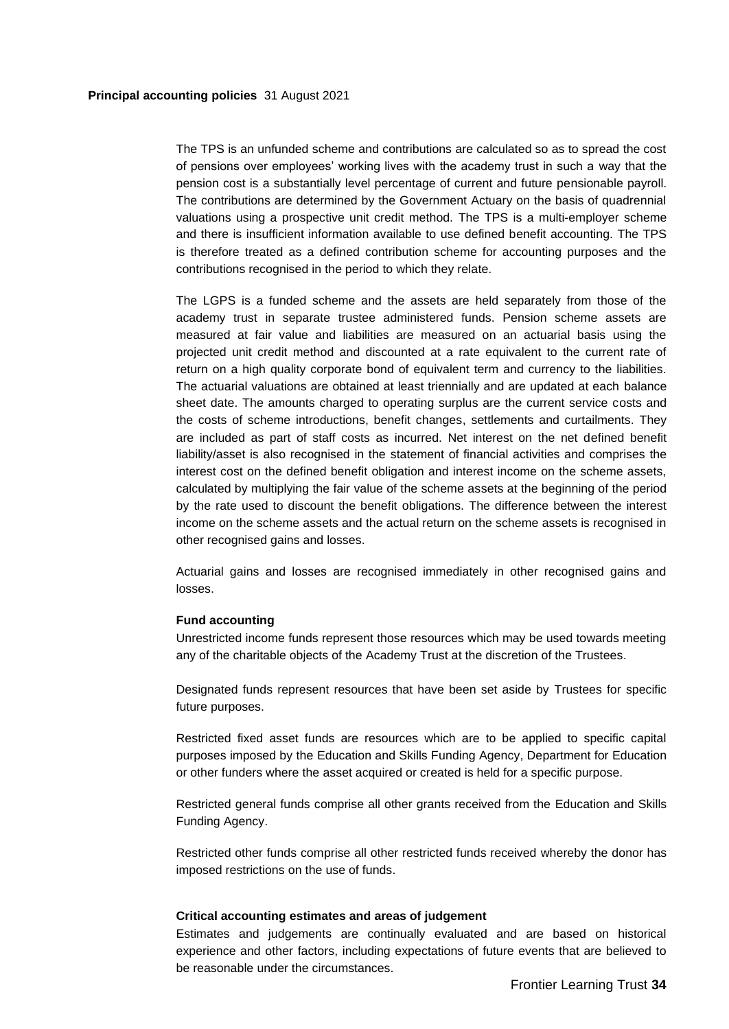The TPS is an unfunded scheme and contributions are calculated so as to spread the cost of pensions over employees' working lives with the academy trust in such a way that the pension cost is a substantially level percentage of current and future pensionable payroll. The contributions are determined by the Government Actuary on the basis of quadrennial valuations using a prospective unit credit method. The TPS is a multi-employer scheme and there is insufficient information available to use defined benefit accounting. The TPS is therefore treated as a defined contribution scheme for accounting purposes and the contributions recognised in the period to which they relate.

The LGPS is a funded scheme and the assets are held separately from those of the academy trust in separate trustee administered funds. Pension scheme assets are measured at fair value and liabilities are measured on an actuarial basis using the projected unit credit method and discounted at a rate equivalent to the current rate of return on a high quality corporate bond of equivalent term and currency to the liabilities. The actuarial valuations are obtained at least triennially and are updated at each balance sheet date. The amounts charged to operating surplus are the current service costs and the costs of scheme introductions, benefit changes, settlements and curtailments. They are included as part of staff costs as incurred. Net interest on the net defined benefit liability/asset is also recognised in the statement of financial activities and comprises the interest cost on the defined benefit obligation and interest income on the scheme assets, calculated by multiplying the fair value of the scheme assets at the beginning of the period by the rate used to discount the benefit obligations. The difference between the interest income on the scheme assets and the actual return on the scheme assets is recognised in other recognised gains and losses.

Actuarial gains and losses are recognised immediately in other recognised gains and losses.

### **Fund accounting**

Unrestricted income funds represent those resources which may be used towards meeting any of the charitable objects of the Academy Trust at the discretion of the Trustees.

Designated funds represent resources that have been set aside by Trustees for specific future purposes.

Restricted fixed asset funds are resources which are to be applied to specific capital purposes imposed by the Education and Skills Funding Agency, Department for Education or other funders where the asset acquired or created is held for a specific purpose.

Restricted general funds comprise all other grants received from the Education and Skills Funding Agency.

Restricted other funds comprise all other restricted funds received whereby the donor has imposed restrictions on the use of funds.

### **Critical accounting estimates and areas of judgement**

Estimates and judgements are continually evaluated and are based on historical experience and other factors, including expectations of future events that are believed to be reasonable under the circumstances.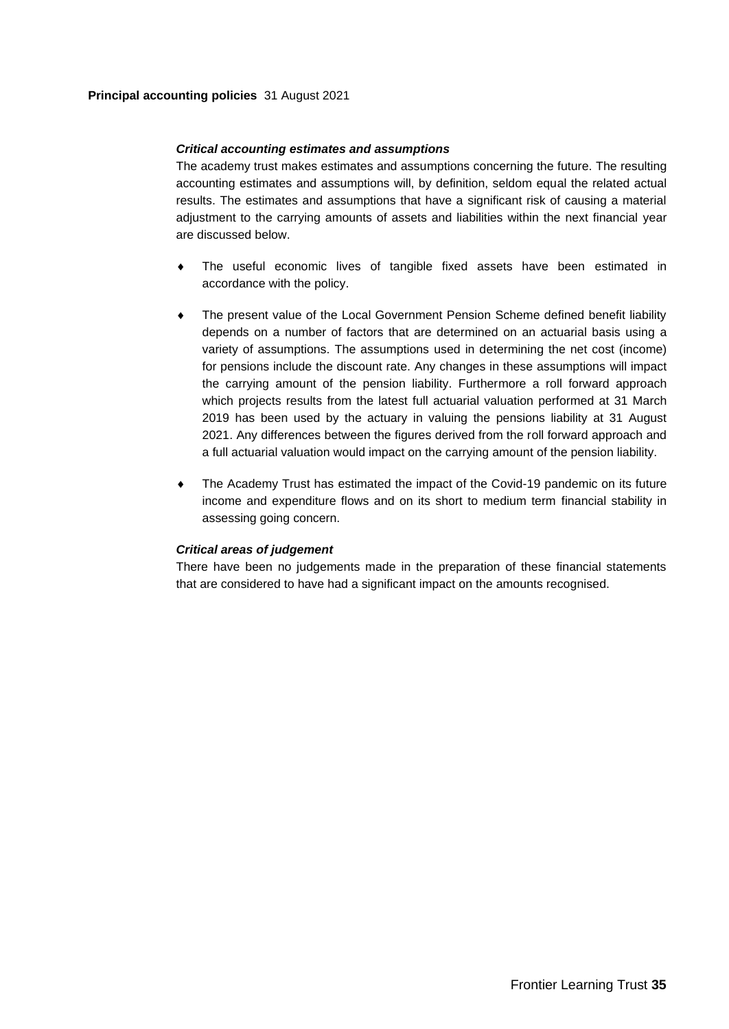# *Critical accounting estimates and assumptions*

The academy trust makes estimates and assumptions concerning the future. The resulting accounting estimates and assumptions will, by definition, seldom equal the related actual results. The estimates and assumptions that have a significant risk of causing a material adjustment to the carrying amounts of assets and liabilities within the next financial year are discussed below.

- The useful economic lives of tangible fixed assets have been estimated in accordance with the policy.
- The present value of the Local Government Pension Scheme defined benefit liability depends on a number of factors that are determined on an actuarial basis using a variety of assumptions. The assumptions used in determining the net cost (income) for pensions include the discount rate. Any changes in these assumptions will impact the carrying amount of the pension liability. Furthermore a roll forward approach which projects results from the latest full actuarial valuation performed at 31 March 2019 has been used by the actuary in valuing the pensions liability at 31 August 2021. Any differences between the figures derived from the roll forward approach and a full actuarial valuation would impact on the carrying amount of the pension liability.
- The Academy Trust has estimated the impact of the Covid-19 pandemic on its future income and expenditure flows and on its short to medium term financial stability in assessing going concern.

# *Critical areas of judgement*

There have been no judgements made in the preparation of these financial statements that are considered to have had a significant impact on the amounts recognised.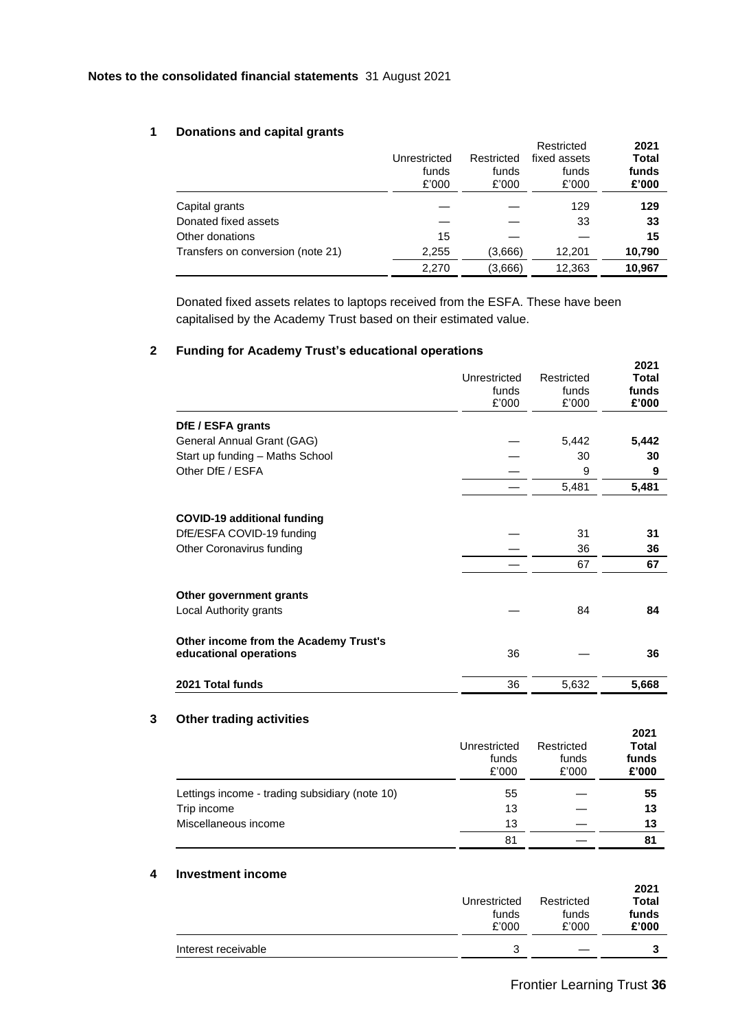# **1 Donations and capital grants**

|                                   | Unrestricted<br>funds<br>£'000 | Restricted<br>funds<br>£'000 | Restricted<br>fixed assets<br>funds<br>£'000 | 2021<br><b>Total</b><br>funds<br>£'000 |
|-----------------------------------|--------------------------------|------------------------------|----------------------------------------------|----------------------------------------|
| Capital grants                    |                                |                              | 129                                          | 129                                    |
| Donated fixed assets              |                                |                              | 33                                           | 33                                     |
| Other donations                   | 15                             |                              |                                              | 15                                     |
| Transfers on conversion (note 21) | 2,255                          | (3,666)                      | 12.201                                       | 10,790                                 |
|                                   | 2.270                          | (3,666)                      | 12.363                                       | 10.967                                 |

Donated fixed assets relates to laptops received from the ESFA. These have been capitalised by the Academy Trust based on their estimated value.

# **2 Funding for Academy Trust's educational operations**

|                                                                                              | Unrestricted<br>funds<br>£'000 | Restricted<br>funds<br>£'000 | 2021<br>Total<br>funds<br>£'000 |
|----------------------------------------------------------------------------------------------|--------------------------------|------------------------------|---------------------------------|
| DfE / ESFA grants                                                                            |                                |                              |                                 |
| General Annual Grant (GAG)                                                                   |                                | 5,442                        | 5,442                           |
| Start up funding - Maths School                                                              |                                | 30                           | 30                              |
| Other DfE / ESFA                                                                             |                                | 9                            | 9                               |
|                                                                                              |                                | 5,481                        | 5,481                           |
| <b>COVID-19 additional funding</b><br>DfE/ESFA COVID-19 funding<br>Other Coronavirus funding |                                | 31<br>36<br>67               | 31<br>36<br>67                  |
| Other government grants                                                                      |                                |                              |                                 |
| Local Authority grants                                                                       |                                | 84                           | 84                              |
| Other income from the Academy Trust's<br>educational operations                              | 36                             |                              | 36                              |
| 2021 Total funds                                                                             | 36                             | 5,632                        | 5,668                           |

# **3 Other trading activities**

|                                                | Unrestricted<br>funds<br>£'000 | Restricted<br>funds<br>£'000 | 2021<br><b>Total</b><br>funds<br>£'000 |
|------------------------------------------------|--------------------------------|------------------------------|----------------------------------------|
| Lettings income - trading subsidiary (note 10) | 55                             |                              | 55                                     |
| Trip income                                    | 13                             |                              | 13                                     |
| Miscellaneous income                           | 13                             |                              | 13                                     |
|                                                | 81                             |                              | 81                                     |

# **4 Investment income**

|                     | Unrestricted<br>funds<br>£'000 | Restricted<br>funds<br>£'000 | 2021<br>Total<br>funds<br>£'000 |
|---------------------|--------------------------------|------------------------------|---------------------------------|
| Interest receivable | 3                              |                              |                                 |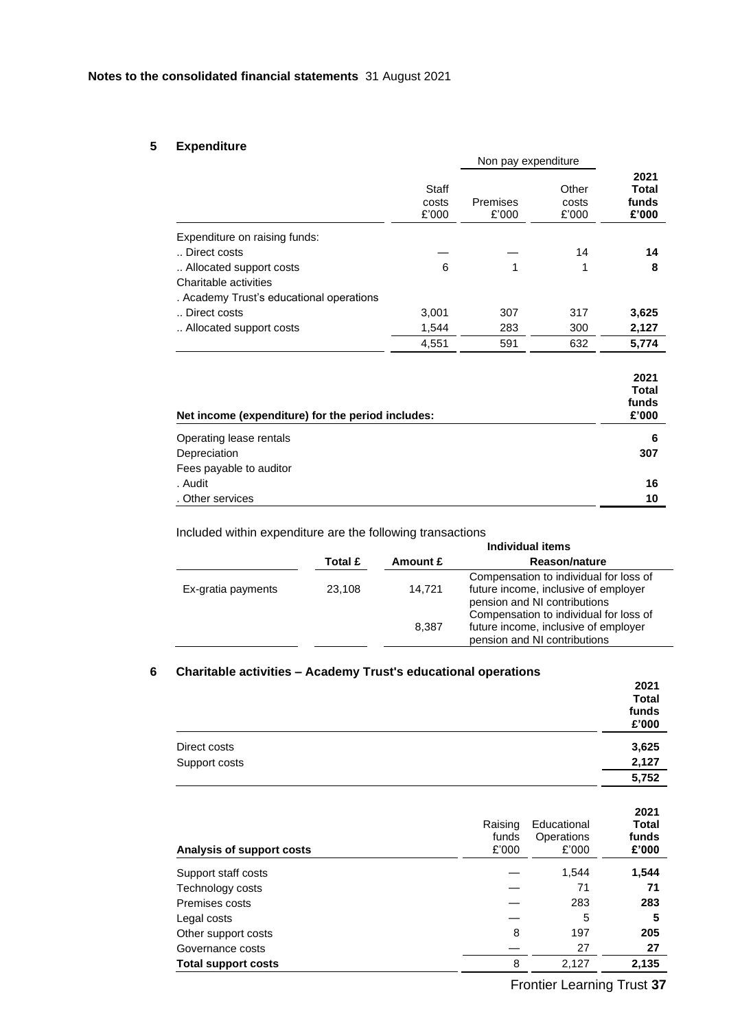# **5 Expenditure**

|                                                   |                         | Non pay expenditure |                         |                                        |
|---------------------------------------------------|-------------------------|---------------------|-------------------------|----------------------------------------|
|                                                   | Staff<br>costs<br>£'000 | Premises<br>£'000   | Other<br>costs<br>£'000 | 2021<br>Total<br>funds<br>£'000        |
| Expenditure on raising funds:                     |                         |                     |                         |                                        |
| Direct costs                                      |                         |                     | 14                      | 14                                     |
| Allocated support costs                           | 6                       | 1                   | 1                       | 8                                      |
| Charitable activities                             |                         |                     |                         |                                        |
| . Academy Trust's educational operations          |                         |                     |                         |                                        |
| Direct costs                                      | 3,001                   | 307                 | 317                     | 3,625                                  |
| Allocated support costs                           | 1,544                   | 283                 | 300                     | 2,127                                  |
|                                                   | 4,551                   | 591                 | 632                     | 5,774                                  |
| Net income (expenditure) for the period includes: |                         |                     |                         | 2021<br><b>Total</b><br>funds<br>£'000 |
| Operating lease rentals                           |                         |                     |                         | 6                                      |
| Depreciation                                      |                         |                     |                         | 307                                    |
| Fees payable to auditor                           |                         |                     |                         |                                        |
| . Audit                                           |                         |                     |                         | 16                                     |

Included within expenditure are the following transactions

|                    |         |          | Individual items                                                                                                                               |
|--------------------|---------|----------|------------------------------------------------------------------------------------------------------------------------------------------------|
|                    | Total £ | Amount £ | <b>Reason/nature</b>                                                                                                                           |
| Ex-gratia payments | 23,108  | 14.721   | Compensation to individual for loss of<br>future income, inclusive of employer                                                                 |
|                    |         | 8.387    | pension and NI contributions<br>Compensation to individual for loss of<br>future income, inclusive of employer<br>pension and NI contributions |

. Other services **10**

# **6 Charitable activities – Academy Trust's educational operations**

| -             | 2021<br><b>Total</b><br>funds<br>£'000 |
|---------------|----------------------------------------|
| Direct costs  | 3,625                                  |
| Support costs | 2,127                                  |
|               | 5,752                                  |

| Analysis of support costs  | Raising<br>funds<br>£'000 | Educational<br>Operations<br>£'000 | 2021<br>Total<br>funds<br>£'000 |
|----------------------------|---------------------------|------------------------------------|---------------------------------|
| Support staff costs        |                           | 1,544                              | 1,544                           |
| Technology costs           |                           | 71                                 | 71                              |
| Premises costs             |                           | 283                                | 283                             |
| Legal costs                |                           | 5                                  | 5                               |
| Other support costs        | 8                         | 197                                | 205                             |
| Governance costs           |                           | 27                                 | 27                              |
| <b>Total support costs</b> | 8                         | 2.127                              | 2,135                           |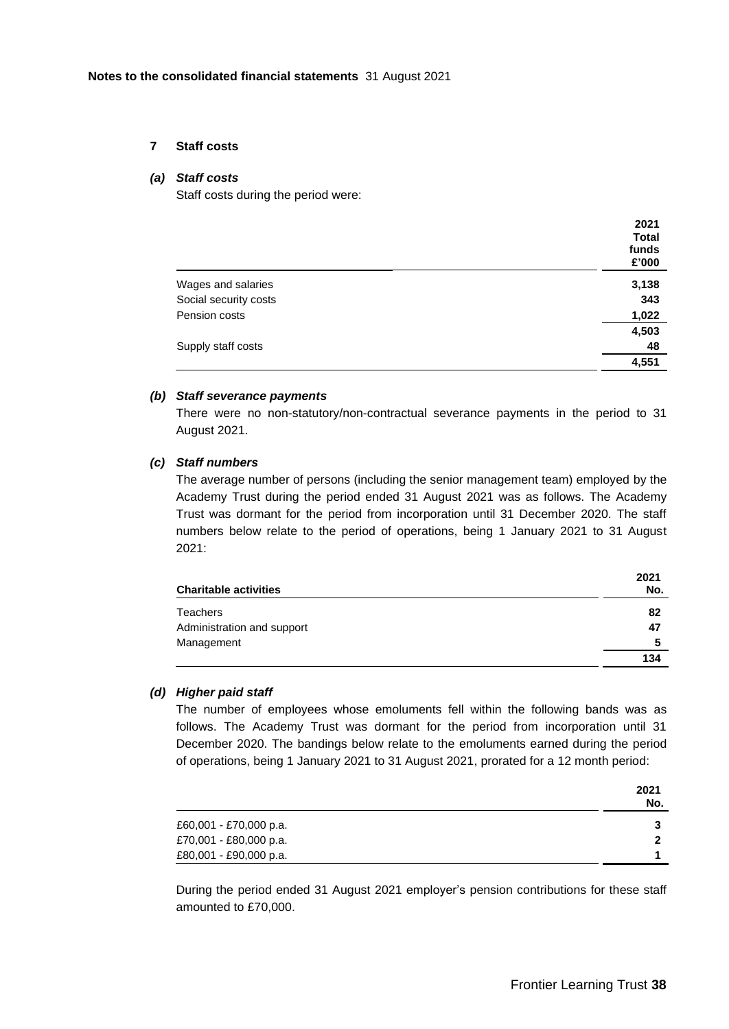# **7 Staff costs**

### *(a) Staff costs*

Staff costs during the period were:

| funds                 | £'000 |
|-----------------------|-------|
| Wages and salaries    | 3,138 |
| Social security costs | 343   |
| Pension costs         | 1,022 |
|                       | 4,503 |
| Supply staff costs    | 48    |
|                       | 4,551 |

# *(b) Staff severance payments*

There were no non-statutory/non-contractual severance payments in the period to 31 August 2021.

# *(c) Staff numbers*

The average number of persons (including the senior management team) employed by the Academy Trust during the period ended 31 August 2021 was as follows. The Academy Trust was dormant for the period from incorporation until 31 December 2020. The staff numbers below relate to the period of operations, being 1 January 2021 to 31 August 2021:

| <b>Charitable activities</b> | 2021<br>No. |
|------------------------------|-------------|
| Teachers                     | 82          |
| Administration and support   | 47          |
| Management                   | 5           |
|                              | 134         |

# *(d) Higher paid staff*

The number of employees whose emoluments fell within the following bands was as follows. The Academy Trust was dormant for the period from incorporation until 31 December 2020. The bandings below relate to the emoluments earned during the period of operations, being 1 January 2021 to 31 August 2021, prorated for a 12 month period:

|                        | 2021<br>No. |
|------------------------|-------------|
| £60,001 - £70,000 p.a. |             |
| £70,001 - £80,000 p.a. | ◠           |
| £80,001 - £90,000 p.a. |             |

During the period ended 31 August 2021 employer's pension contributions for these staff amounted to £70,000.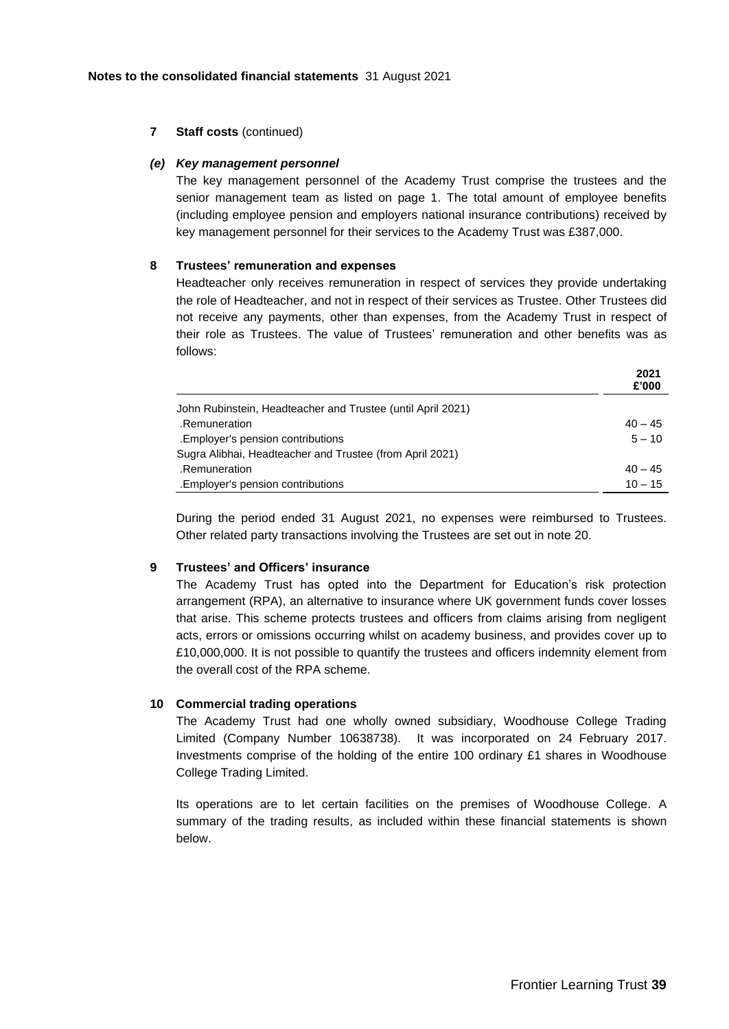### **7 Staff costs** (continued)

### *(e) Key management personnel*

The key management personnel of the Academy Trust comprise the trustees and the senior management team as listed on page 1. The total amount of employee benefits (including employee pension and employers national insurance contributions) received by key management personnel for their services to the Academy Trust was £387,000.

# **8 Trustees' remuneration and expenses**

Headteacher only receives remuneration in respect of services they provide undertaking the role of Headteacher, and not in respect of their services as Trustee. Other Trustees did not receive any payments, other than expenses, from the Academy Trust in respect of their role as Trustees. The value of Trustees' remuneration and other benefits was as follows:

|                                                             | £'000     |
|-------------------------------------------------------------|-----------|
| John Rubinstein, Headteacher and Trustee (until April 2021) |           |
| .Remuneration                                               | $40 - 45$ |
| .Employer's pension contributions                           | $5 - 10$  |
| Sugra Alibhai, Headteacher and Trustee (from April 2021)    |           |
| .Remuneration                                               | $40 - 45$ |
| .Employer's pension contributions                           | $10 - 15$ |

During the period ended 31 August 2021, no expenses were reimbursed to Trustees. Other related party transactions involving the Trustees are set out in note 20.

# **9 Trustees' and Officers' insurance**

The Academy Trust has opted into the Department for Education's risk protection arrangement (RPA), an alternative to insurance where UK government funds cover losses that arise. This scheme protects trustees and officers from claims arising from negligent acts, errors or omissions occurring whilst on academy business, and provides cover up to £10,000,000. It is not possible to quantify the trustees and officers indemnity element from the overall cost of the RPA scheme.

#### **10 Commercial trading operations**

The Academy Trust had one wholly owned subsidiary, Woodhouse College Trading Limited (Company Number 10638738). It was incorporated on 24 February 2017. Investments comprise of the holding of the entire 100 ordinary £1 shares in Woodhouse College Trading Limited.

Its operations are to let certain facilities on the premises of Woodhouse College. A summary of the trading results, as included within these financial statements is shown below.

**2021**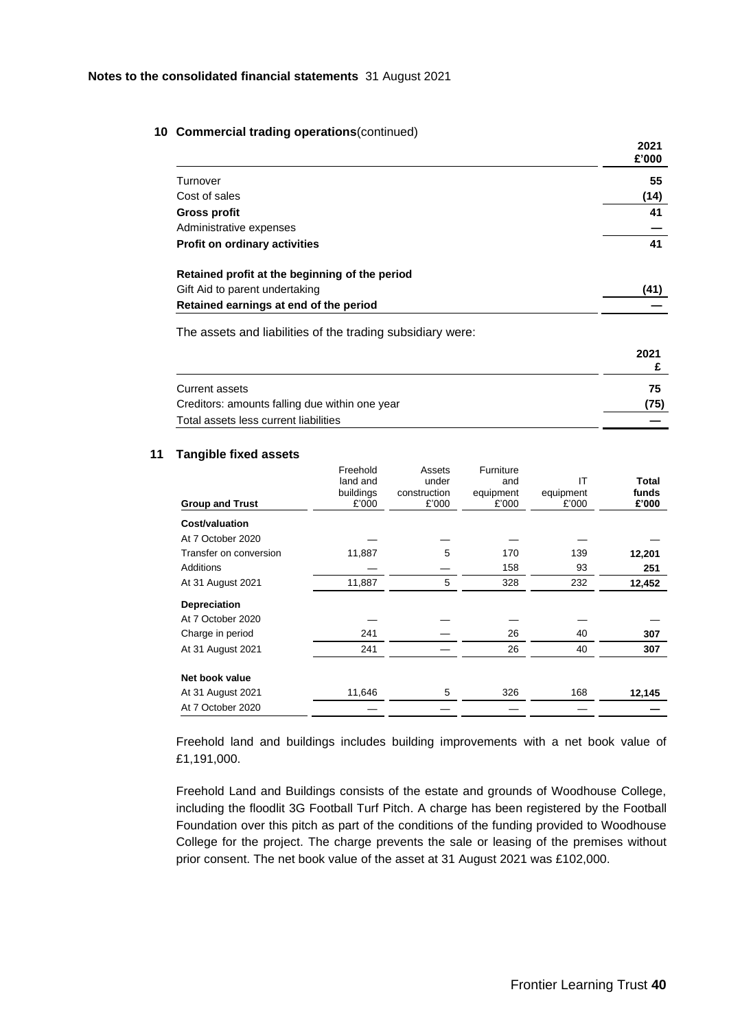### **10 Commercial trading operations**(continued)

|                                                | £'000 |
|------------------------------------------------|-------|
| Turnover                                       | 55    |
| Cost of sales                                  | (14)  |
| Gross profit                                   | 41    |
| Administrative expenses                        |       |
| <b>Profit on ordinary activities</b>           | 41    |
| Retained profit at the beginning of the period |       |
| Gift Aid to parent undertaking                 | (41)  |
| Retained earnings at end of the period         |       |

The assets and liabilities of the trading subsidiary were:

|                                                | 2021 |
|------------------------------------------------|------|
| Current assets                                 | 75   |
| Creditors: amounts falling due within one year | (75) |
| Total assets less current liabilities          |      |

# **11 Tangible fixed assets**

|                        | Freehold  | Assets       | Furniture |           |        |
|------------------------|-----------|--------------|-----------|-----------|--------|
|                        | land and  | under        | and       | ΙT        | Total  |
|                        | buildings | construction | equipment | equipment | funds  |
| <b>Group and Trust</b> | £'000     | £'000        | £'000     | £'000     | £'000  |
| <b>Cost/valuation</b>  |           |              |           |           |        |
| At 7 October 2020      |           |              |           |           |        |
| Transfer on conversion | 11,887    | 5            | 170       | 139       | 12,201 |
| Additions              |           |              | 158       | 93        | 251    |
| At 31 August 2021      | 11,887    | 5            | 328       | 232       | 12,452 |
| Depreciation           |           |              |           |           |        |
| At 7 October 2020      |           |              |           |           |        |
| Charge in period       | 241       |              | 26        | 40        | 307    |
| At 31 August 2021      | 241       |              | 26        | 40        | 307    |
| Net book value         |           |              |           |           |        |
| At 31 August 2021      | 11,646    | 5            | 326       | 168       | 12,145 |
| At 7 October 2020      |           |              |           |           |        |

Freehold land and buildings includes building improvements with a net book value of £1,191,000.

Freehold Land and Buildings consists of the estate and grounds of Woodhouse College, including the floodlit 3G Football Turf Pitch. A charge has been registered by the Football Foundation over this pitch as part of the conditions of the funding provided to Woodhouse College for the project. The charge prevents the sale or leasing of the premises without prior consent. The net book value of the asset at 31 August 2021 was £102,000.

**2021**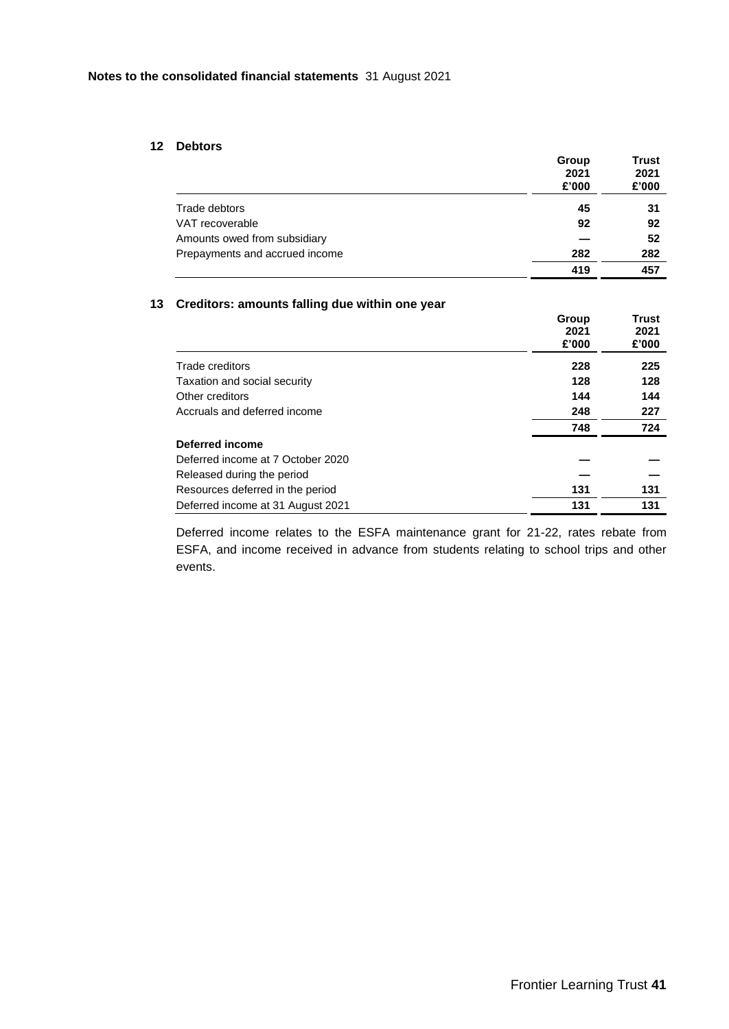# **12 Debtors**

|                                | Group | <b>Trust</b> |
|--------------------------------|-------|--------------|
|                                | 2021  | 2021         |
|                                | £'000 | £'000        |
| Trade debtors                  | 45    | 31           |
| VAT recoverable                | 92    | 92           |
| Amounts owed from subsidiary   |       | 52           |
| Prepayments and accrued income | 282   | 282          |
|                                | 419   | 457          |

# **13 Creditors: amounts falling due within one year**

|                                   | 2021  | 2021  |
|-----------------------------------|-------|-------|
|                                   | £'000 | £'000 |
| Trade creditors                   | 228   | 225   |
| Taxation and social security      | 128   | 128   |
| Other creditors                   | 144   | 144   |
| Accruals and deferred income      | 248   | 227   |
|                                   | 748   | 724   |
| Deferred income                   |       |       |
| Deferred income at 7 October 2020 |       |       |
| Released during the period        |       |       |
| Resources deferred in the period  | 131   | 131   |
| Deferred income at 31 August 2021 | 131   | 131   |

Deferred income relates to the ESFA maintenance grant for 21-22, rates rebate from ESFA, and income received in advance from students relating to school trips and other events.

**Group**

**Trust**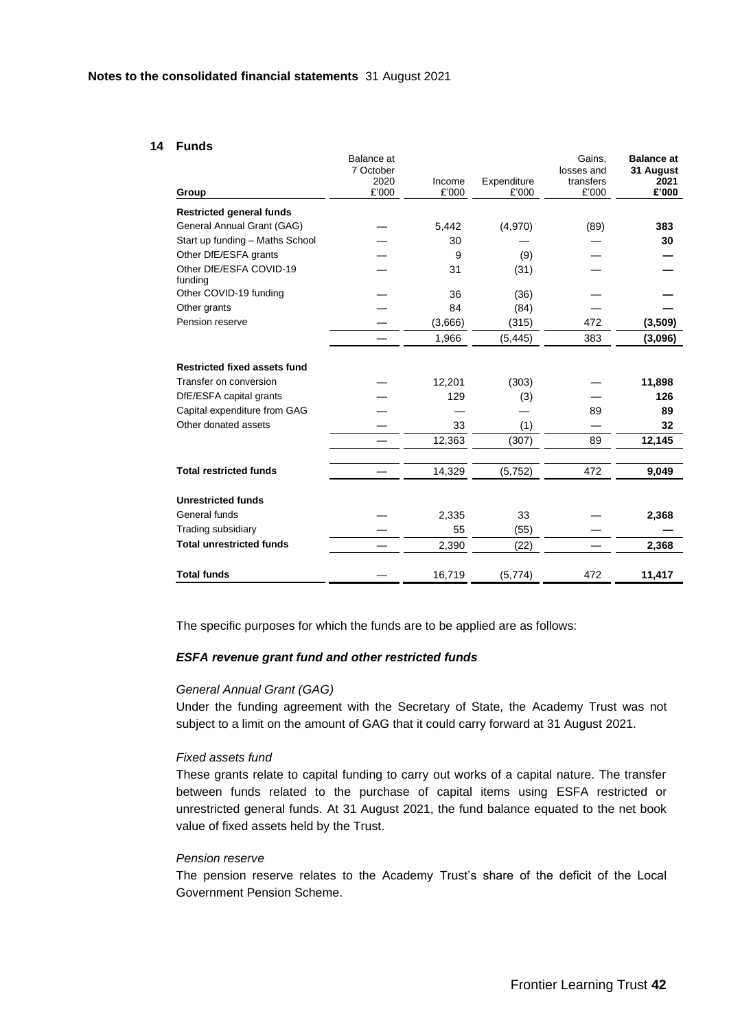# **14 Funds**

|                                     | Balance at<br>7 October |         |             | Gains,<br>losses and | <b>Balance at</b><br>31 August |
|-------------------------------------|-------------------------|---------|-------------|----------------------|--------------------------------|
|                                     | 2020                    | Income  | Expenditure | transfers            | 2021                           |
| Group                               | £'000                   | £'000   | £'000       | £'000                | £'000                          |
| <b>Restricted general funds</b>     |                         |         |             |                      |                                |
| General Annual Grant (GAG)          |                         | 5,442   | (4,970)     | (89)                 | 383                            |
| Start up funding - Maths School     |                         | 30      |             |                      | 30                             |
| Other DfE/ESFA grants               |                         | 9       | (9)         |                      |                                |
| Other DfE/ESFA COVID-19<br>funding  |                         | 31      | (31)        |                      |                                |
| Other COVID-19 funding              |                         | 36      | (36)        |                      |                                |
| Other grants                        |                         | 84      | (84)        |                      |                                |
| Pension reserve                     |                         | (3,666) | (315)       | 472                  | (3,509)                        |
|                                     |                         | 1,966   | (5, 445)    | 383                  | (3,096)                        |
| <b>Restricted fixed assets fund</b> |                         |         |             |                      |                                |
| Transfer on conversion              |                         | 12,201  | (303)       |                      | 11,898                         |
| DfE/ESFA capital grants             |                         | 129     | (3)         |                      | 126                            |
| Capital expenditure from GAG        |                         |         |             | 89                   | 89                             |
| Other donated assets                |                         | 33      | (1)         |                      | 32                             |
|                                     |                         | 12,363  | (307)       | 89                   | 12,145                         |
| <b>Total restricted funds</b>       |                         | 14,329  | (5, 752)    | 472                  | 9,049                          |
|                                     |                         |         |             |                      |                                |
| <b>Unrestricted funds</b>           |                         |         |             |                      |                                |
| General funds                       |                         | 2,335   | 33          |                      | 2,368                          |
| Trading subsidiary                  |                         | 55      | (55)        |                      |                                |
| <b>Total unrestricted funds</b>     |                         | 2,390   | (22)        |                      | 2,368                          |
| <b>Total funds</b>                  |                         | 16,719  | (5, 774)    | 472                  | 11,417                         |

The specific purposes for which the funds are to be applied are as follows:

### *ESFA revenue grant fund and other restricted funds*

# *General Annual Grant (GAG)*

Under the funding agreement with the Secretary of State, the Academy Trust was not subject to a limit on the amount of GAG that it could carry forward at 31 August 2021.

### *Fixed assets fund*

These grants relate to capital funding to carry out works of a capital nature. The transfer between funds related to the purchase of capital items using ESFA restricted or unrestricted general funds. At 31 August 2021, the fund balance equated to the net book value of fixed assets held by the Trust.

# *Pension reserve*

The pension reserve relates to the Academy Trust's share of the deficit of the Local Government Pension Scheme.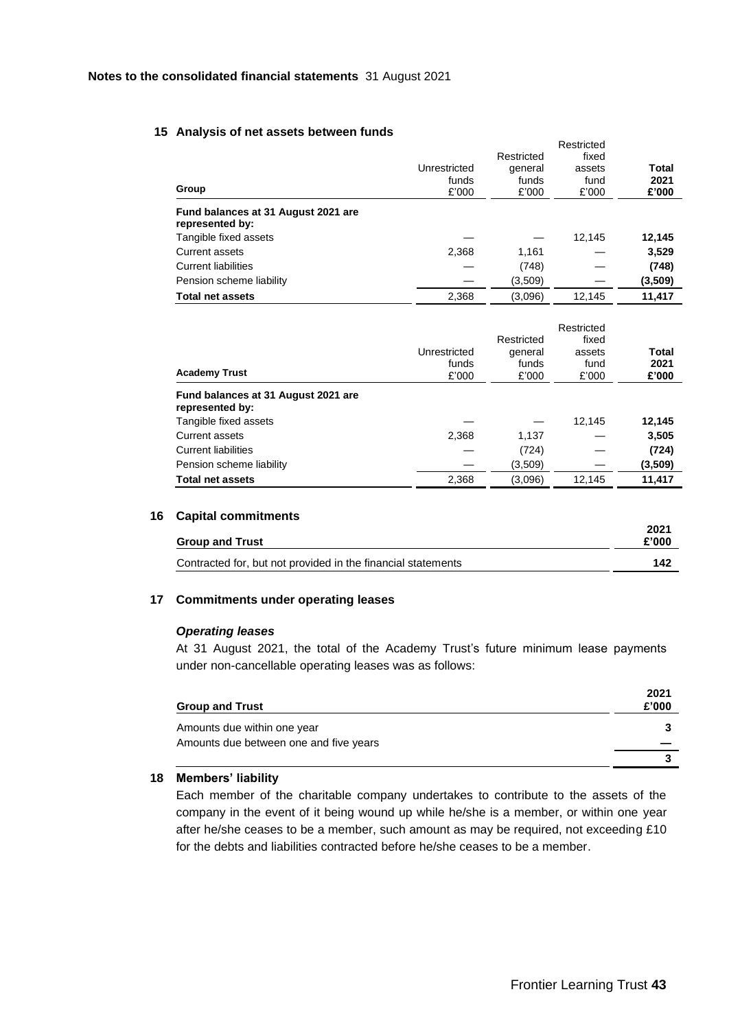### **15 Analysis of net assets between funds**

| Group                                                  | Unrestricted<br>funds<br>£'000 | Restricted<br>general<br>funds<br>£'000 | Restricted<br>fixed<br>assets<br>fund<br>£'000 | Total<br>2021<br>£'000 |
|--------------------------------------------------------|--------------------------------|-----------------------------------------|------------------------------------------------|------------------------|
| Fund balances at 31 August 2021 are<br>represented by: |                                |                                         |                                                |                        |
| Tangible fixed assets                                  |                                |                                         | 12.145                                         | 12,145                 |
| <b>Current assets</b>                                  | 2,368                          | 1,161                                   |                                                | 3,529                  |
| <b>Current liabilities</b>                             |                                | (748)                                   |                                                | (748)                  |
| Pension scheme liability                               |                                | (3,509)                                 |                                                | (3,509)                |
| <b>Total net assets</b>                                | 2,368                          | (3,096)                                 | 12.145                                         | 11.417                 |

| <b>Academy Trust</b>                                   | Unrestricted<br>funds<br>£'000 | Restricted<br>general<br>funds<br>£'000 | Restricted<br>fixed<br>assets<br>fund<br>£'000 | Total<br>2021<br>£'000 |
|--------------------------------------------------------|--------------------------------|-----------------------------------------|------------------------------------------------|------------------------|
| Fund balances at 31 August 2021 are<br>represented by: |                                |                                         |                                                |                        |
| Tangible fixed assets                                  |                                |                                         | 12.145                                         | 12,145                 |
| <b>Current assets</b>                                  | 2,368                          | 1,137                                   |                                                | 3,505                  |
| <b>Current liabilities</b>                             |                                | (724)                                   |                                                | (724)                  |
| Pension scheme liability                               |                                | (3,509)                                 |                                                | (3,509)                |
| <b>Total net assets</b>                                | 2,368                          | (3.096)                                 | 12,145                                         | 11,417                 |

# **16 Capital commitments**

| <b>Group and Trust</b>                                       | 2021<br>£'000 |
|--------------------------------------------------------------|---------------|
| Contracted for, but not provided in the financial statements | 142           |

# **17 Commitments under operating leases**

#### *Operating leases*

At 31 August 2021, the total of the Academy Trust's future minimum lease payments under non-cancellable operating leases was as follows:

| <b>Group and Trust</b>                 | 2021<br>£'000 |
|----------------------------------------|---------------|
| Amounts due within one year            |               |
| Amounts due between one and five years |               |
|                                        |               |

### **18 Members' liability**

Each member of the charitable company undertakes to contribute to the assets of the company in the event of it being wound up while he/she is a member, or within one year after he/she ceases to be a member, such amount as may be required, not exceeding £10 for the debts and liabilities contracted before he/she ceases to be a member.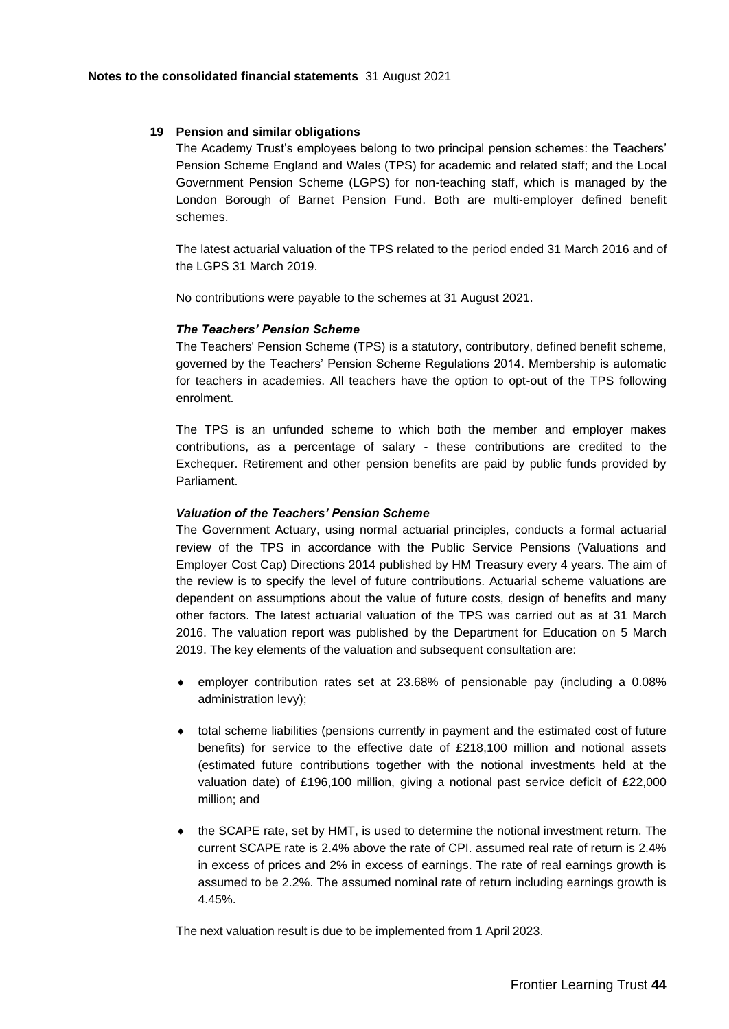#### **19 Pension and similar obligations**

The Academy Trust's employees belong to two principal pension schemes: the Teachers' Pension Scheme England and Wales (TPS) for academic and related staff; and the Local Government Pension Scheme (LGPS) for non-teaching staff, which is managed by the London Borough of Barnet Pension Fund. Both are multi-employer defined benefit schemes.

The latest actuarial valuation of the TPS related to the period ended 31 March 2016 and of the LGPS 31 March 2019.

No contributions were payable to the schemes at 31 August 2021.

### *The Teachers' Pension Scheme*

The Teachers' Pension Scheme (TPS) is a statutory, contributory, defined benefit scheme, governed by the Teachers' Pension Scheme Regulations 2014. Membership is automatic for teachers in academies. All teachers have the option to opt-out of the TPS following enrolment.

The TPS is an unfunded scheme to which both the member and employer makes contributions, as a percentage of salary - these contributions are credited to the Exchequer. Retirement and other pension benefits are paid by public funds provided by Parliament.

### *Valuation of the Teachers' Pension Scheme*

The Government Actuary, using normal actuarial principles, conducts a formal actuarial review of the TPS in accordance with the Public Service Pensions (Valuations and Employer Cost Cap) Directions 2014 published by HM Treasury every 4 years. The aim of the review is to specify the level of future contributions. Actuarial scheme valuations are dependent on assumptions about the value of future costs, design of benefits and many other factors. The latest actuarial valuation of the TPS was carried out as at 31 March 2016. The valuation report was published by the Department for Education on 5 March 2019. The key elements of the valuation and subsequent consultation are:

- employer contribution rates set at 23.68% of pensionable pay (including a 0.08% administration levy);
- total scheme liabilities (pensions currently in payment and the estimated cost of future benefits) for service to the effective date of £218,100 million and notional assets (estimated future contributions together with the notional investments held at the valuation date) of £196,100 million, giving a notional past service deficit of £22,000 million; and
- $\bullet$  the SCAPE rate, set by HMT, is used to determine the notional investment return. The current SCAPE rate is 2.4% above the rate of CPI. assumed real rate of return is 2.4% in excess of prices and 2% in excess of earnings. The rate of real earnings growth is assumed to be 2.2%. The assumed nominal rate of return including earnings growth is 4.45%.

The next valuation result is due to be implemented from 1 April 2023.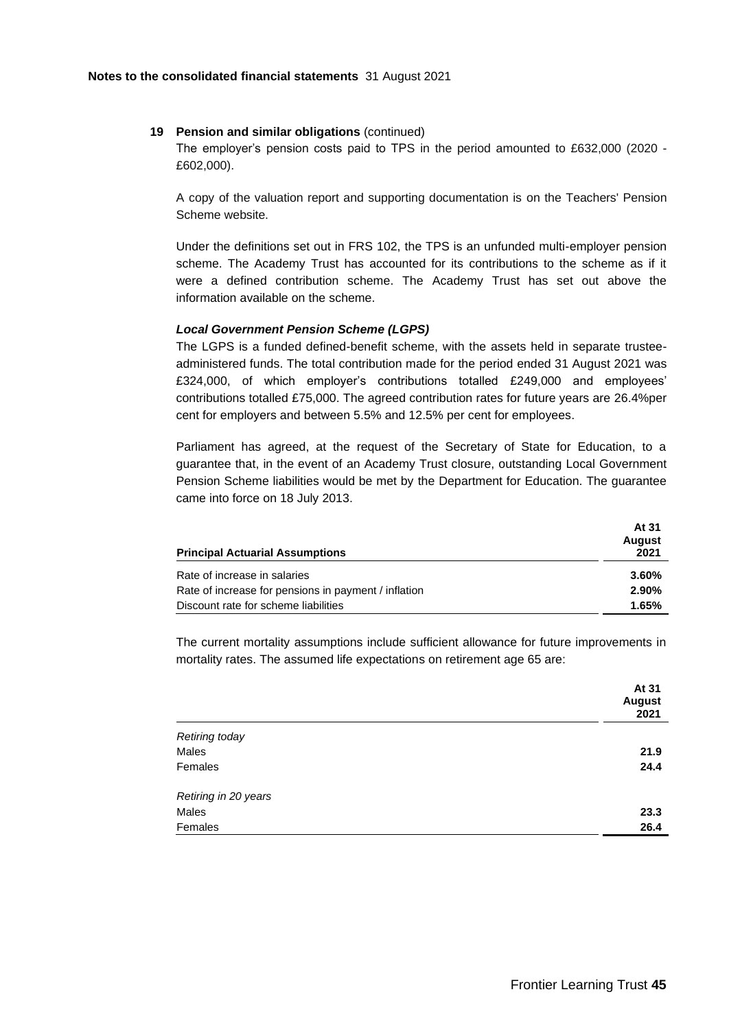#### **19 Pension and similar obligations** (continued)

The employer's pension costs paid to TPS in the period amounted to £632,000 (2020 - £602,000).

A copy of the valuation report and supporting documentation is on the [Teachers' Pension](https://www.teacherspensions.co.uk/news/public-news/2019/04/teachers-pensions-valuation-report.aspx)  [Scheme website.](https://www.teacherspensions.co.uk/news/public-news/2019/04/teachers-pensions-valuation-report.aspx)

Under the definitions set out in FRS 102, the TPS is an unfunded multi-employer pension scheme. The Academy Trust has accounted for its contributions to the scheme as if it were a defined contribution scheme. The Academy Trust has set out above the information available on the scheme.

### *Local Government Pension Scheme (LGPS)*

The LGPS is a funded defined-benefit scheme, with the assets held in separate trusteeadministered funds. The total contribution made for the period ended 31 August 2021 was £324,000, of which employer's contributions totalled £249,000 and employees' contributions totalled £75,000. The agreed contribution rates for future years are 26.4%per cent for employers and between 5.5% and 12.5% per cent for employees.

Parliament has agreed, at the request of the Secretary of State for Education, to a guarantee that, in the event of an Academy Trust closure, outstanding Local Government Pension Scheme liabilities would be met by the Department for Education. The guarantee came into force on 18 July 2013.

| <b>Principal Actuarial Assumptions</b>               | AT 31<br><b>August</b><br>2021 |
|------------------------------------------------------|--------------------------------|
| Rate of increase in salaries                         | $3.60\%$                       |
| Rate of increase for pensions in payment / inflation | $2.90\%$                       |
| Discount rate for scheme liabilities                 | 1.65%                          |

The current mortality assumptions include sufficient allowance for future improvements in mortality rates. The assumed life expectations on retirement age 65 are:

|                      | <b>AU</b><br><b>August</b><br>2021 |
|----------------------|------------------------------------|
| Retiring today       |                                    |
| Males                | 21.9                               |
| Females              | 24.4                               |
| Retiring in 20 years |                                    |
| Males                | 23.3                               |
| Females              | 26.4                               |

**At 31**

**At 31**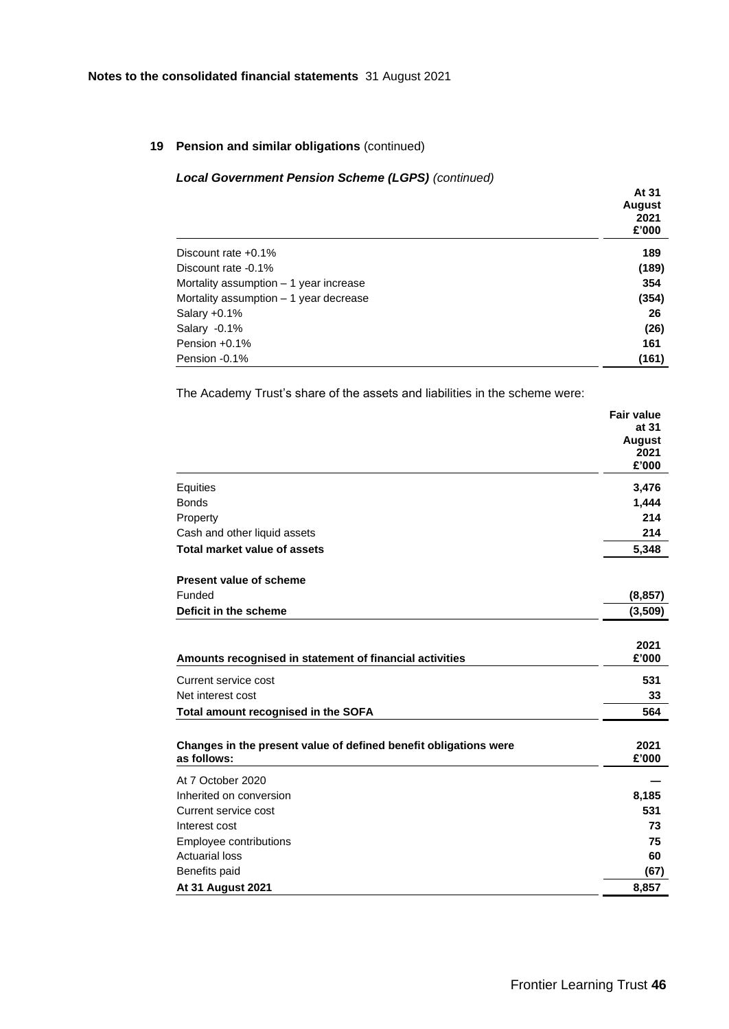# **19 Pension and similar obligations** (continued)

# *Local Government Pension Scheme (LGPS) (continued)*

| $\sim$ $\sim$ $\sim$ $\sim$ $\sim$ $\sim$ $\sim$ | At 31<br>August<br>2021<br>£'000 |
|--------------------------------------------------|----------------------------------|
| Discount rate $+0.1\%$                           | 189                              |
| Discount rate -0.1%                              | (189)                            |
| Mortality assumption $-1$ year increase          | 354                              |
| Mortality assumption $-1$ year decrease          | (354)                            |
| Salary $+0.1\%$                                  | 26                               |
| Salary -0.1%                                     | (26)                             |
| Pension +0.1%                                    | 161                              |
| Pension -0.1%                                    | (161)                            |

The Academy Trust's share of the assets and liabilities in the scheme were:

|                                                                  | <b>Fair value</b> |
|------------------------------------------------------------------|-------------------|
|                                                                  | at 31             |
|                                                                  | <b>August</b>     |
|                                                                  | 2021              |
|                                                                  | £'000             |
| Equities                                                         | 3,476             |
| <b>Bonds</b>                                                     | 1,444             |
| Property                                                         | 214               |
| Cash and other liquid assets                                     | 214               |
| <b>Total market value of assets</b>                              | 5,348             |
| Present value of scheme                                          |                   |
| Funded                                                           | (8, 857)          |
| Deficit in the scheme                                            | (3,509)           |
|                                                                  |                   |
|                                                                  | 2021              |
| Amounts recognised in statement of financial activities          | £'000             |
| Current service cost                                             | 531               |
| Net interest cost                                                | 33                |
| Total amount recognised in the SOFA                              | 564               |
|                                                                  |                   |
| Changes in the present value of defined benefit obligations were | 2021              |
| as follows:                                                      | £'000             |
| At 7 October 2020                                                |                   |
| Inherited on conversion                                          | 8,185             |
| Current service cost                                             | 531               |
| Interest cost                                                    | 73                |
| Employee contributions                                           | 75                |
| <b>Actuarial loss</b>                                            | 60                |
| Benefits paid                                                    | (67)              |
| <b>At 31 August 2021</b>                                         | 8,857             |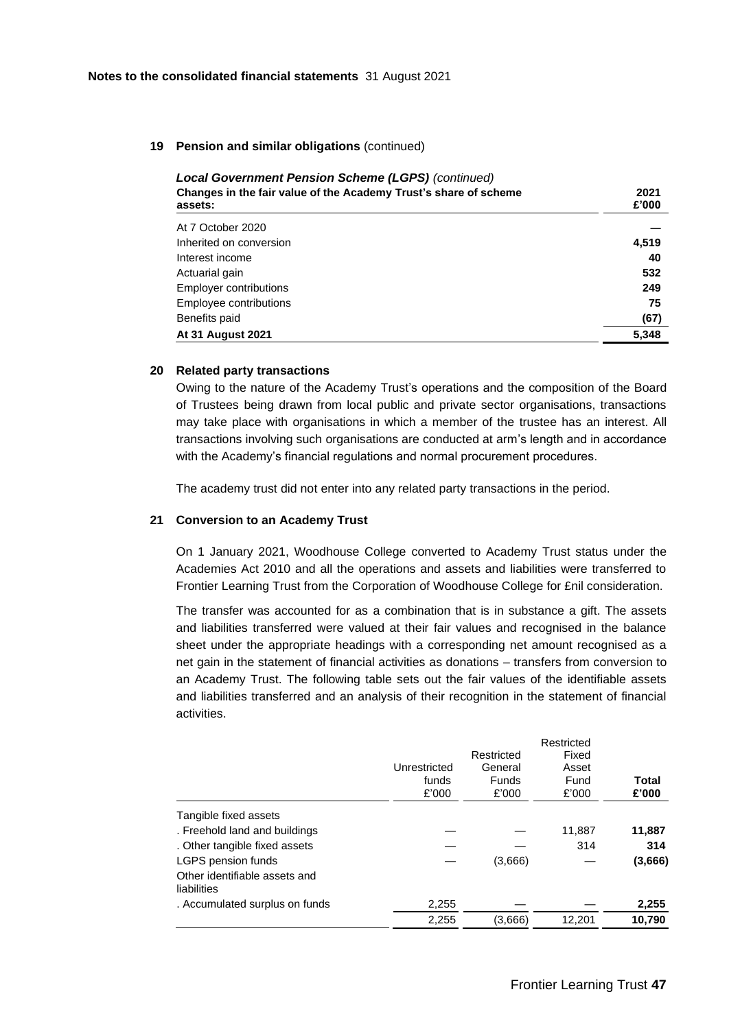#### **19 Pension and similar obligations** (continued)

| <b>Local Government Pension Scheme (LGPS) (continued)</b>        |       |
|------------------------------------------------------------------|-------|
| Changes in the fair value of the Academy Trust's share of scheme | 2021  |
| assets:                                                          | £'000 |
| At 7 October 2020                                                |       |
| Inherited on conversion                                          | 4,519 |
| Interest income                                                  | 40    |
| Actuarial gain                                                   | 532   |
| <b>Employer contributions</b>                                    | 249   |
| Employee contributions                                           | 75    |
| Benefits paid                                                    | (67)  |
| <b>At 31 August 2021</b>                                         | 5.348 |

### **20 Related party transactions**

Owing to the nature of the Academy Trust's operations and the composition of the Board of Trustees being drawn from local public and private sector organisations, transactions may take place with organisations in which a member of the trustee has an interest. All transactions involving such organisations are conducted at arm's length and in accordance with the Academy's financial regulations and normal procurement procedures.

The academy trust did not enter into any related party transactions in the period.

### **21 Conversion to an Academy Trust**

On 1 January 2021, Woodhouse College converted to Academy Trust status under the Academies Act 2010 and all the operations and assets and liabilities were transferred to Frontier Learning Trust from the Corporation of Woodhouse College for £nil consideration.

The transfer was accounted for as a combination that is in substance a gift. The assets and liabilities transferred were valued at their fair values and recognised in the balance sheet under the appropriate headings with a corresponding net amount recognised as a net gain in the statement of financial activities as donations – transfers from conversion to an Academy Trust. The following table sets out the fair values of the identifiable assets and liabilities transferred and an analysis of their recognition in the statement of financial activities.

|                                                                    | Unrestricted<br>funds<br>£'000 | Restricted<br>General<br><b>Funds</b><br>£'000 | Restricted<br>Fixed<br>Asset<br>Fund<br>£'000 | Total<br>£'000 |
|--------------------------------------------------------------------|--------------------------------|------------------------------------------------|-----------------------------------------------|----------------|
| Tangible fixed assets                                              |                                |                                                |                                               |                |
| . Freehold land and buildings                                      |                                |                                                | 11,887                                        | 11,887         |
| . Other tangible fixed assets                                      |                                |                                                | 314                                           | 314            |
| LGPS pension funds<br>Other identifiable assets and<br>liabilities |                                | (3,666)                                        |                                               | (3,666)        |
| . Accumulated surplus on funds                                     | 2,255                          |                                                |                                               | 2,255          |
|                                                                    | 2,255                          | (3,666)                                        | 12,201                                        | 10,790         |